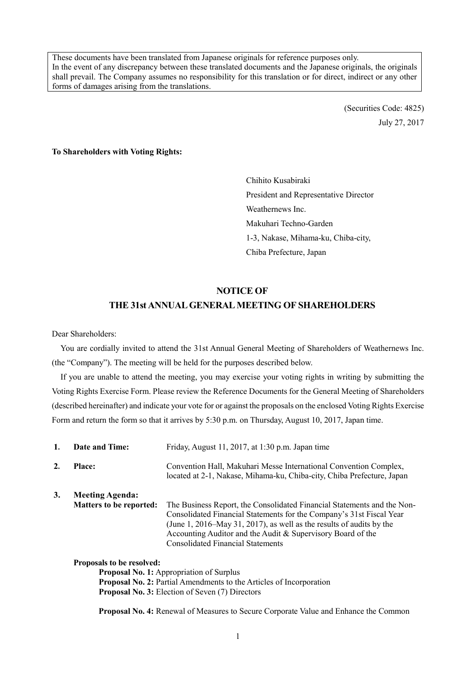These documents have been translated from Japanese originals for reference purposes only. In the event of any discrepancy between these translated documents and the Japanese originals, the originals shall prevail. The Company assumes no responsibility for this translation or for direct, indirect or any other forms of damages arising from the translations.

> (Securities Code: 4825) July 27, 2017

### **To Shareholders with Voting Rights:**

Chihito Kusabiraki President and Representative Director Weathernews Inc. Makuhari Techno-Garden 1-3, Nakase, Mihama-ku, Chiba-city, Chiba Prefecture, Japan

## **NOTICE OF**

## **THE 31st ANNUAL GENERAL MEETING OF SHAREHOLDERS**

Dear Shareholders:

You are cordially invited to attend the 31st Annual General Meeting of Shareholders of Weathernews Inc. (the "Company"). The meeting will be held for the purposes described below.

If you are unable to attend the meeting, you may exercise your voting rights in writing by submitting the Voting Rights Exercise Form. Please review the Reference Documents for the General Meeting of Shareholders (described hereinafter) and indicate your vote for or against the proposals on the enclosed Voting Rights Exercise Form and return the form so that it arrives by 5:30 p.m. on Thursday, August 10, 2017, Japan time.

| 1. | <b>Date and Time:</b>                                    | Friday, August 11, 2017, at 1:30 p.m. Japan time                                                                                                                                                                                                                                                                                   |
|----|----------------------------------------------------------|------------------------------------------------------------------------------------------------------------------------------------------------------------------------------------------------------------------------------------------------------------------------------------------------------------------------------------|
| 2. | <b>Place:</b>                                            | Convention Hall, Makuhari Messe International Convention Complex,<br>located at 2-1, Nakase, Mihama-ku, Chiba-city, Chiba Prefecture, Japan                                                                                                                                                                                        |
| 3. | <b>Meeting Agenda:</b><br><b>Matters to be reported:</b> | The Business Report, the Consolidated Financial Statements and the Non-<br>Consolidated Financial Statements for the Company's 31st Fiscal Year<br>(June 1, 2016–May 31, 2017), as well as the results of audits by the<br>Accounting Auditor and the Audit & Supervisory Board of the<br><b>Consolidated Financial Statements</b> |
|    | <b>Proposals to be resolved:</b>                         | <b>Proposal No. 1:</b> Appropriation of Surplus                                                                                                                                                                                                                                                                                    |
|    |                                                          | <b>Proposal No. 2: Partial Amendments to the Articles of Incorporation</b><br>$\blacksquare$                                                                                                                                                                                                                                       |

**Proposal No. 3:** Election of Seven (7) Directors

**Proposal No. 4:** Renewal of Measures to Secure Corporate Value and Enhance the Common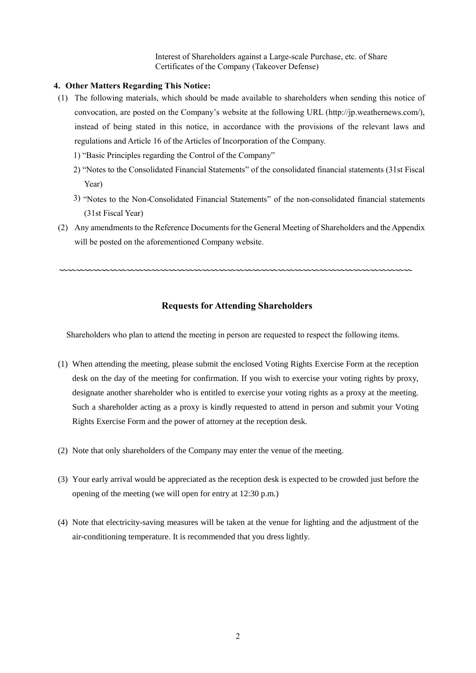Interest of Shareholders against a Large-scale Purchase, etc. of Share Certificates of the Company (Takeover Defense)

## **4. Other Matters Regarding This Notice:**

- (1) The following materials, which should be made available to shareholders when sending this notice of convocation, are posted on the Company's website at the following URL [\(http://jp.weathernews.com/\)](http://weathernews.com/), instead of being stated in this notice, in accordance with the provisions of the relevant laws and regulations and Article 16 of the Articles of Incorporation of the Company.
	- 1) "Basic Principles regarding the Control of the Company"
	- 2) "Notes to the Consolidated Financial Statements" of the consolidated financial statements (31st Fiscal Year)
	- 3) "Notes to the Non-Consolidated Financial Statements" of the non-consolidated financial statements (31st Fiscal Year)
- (2) Any amendments to the Reference Documents for the General Meeting of Shareholders and the Appendix will be posted on the aforementioned Company website.

# **Requests for Attending Shareholders**

〰〰〰〰〰〰〰〰〰〰〰〰〰〰〰〰〰〰〰〰〰〰〰〰〰〰〰〰〰〰〰〰〰〰〰〰〰〰〰〰〰〰

Shareholders who plan to attend the meeting in person are requested to respect the following items.

- (1) When attending the meeting, please submit the enclosed Voting Rights Exercise Form at the reception desk on the day of the meeting for confirmation. If you wish to exercise your voting rights by proxy, designate another shareholder who is entitled to exercise your voting rights as a proxy at the meeting. Such a shareholder acting as a proxy is kindly requested to attend in person and submit your Voting Rights Exercise Form and the power of attorney at the reception desk.
- (2) Note that only shareholders of the Company may enter the venue of the meeting.
- (3) Your early arrival would be appreciated as the reception desk is expected to be crowded just before the opening of the meeting (we will open for entry at 12:30 p.m.)
- (4) Note that electricity-saving measures will be taken at the venue for lighting and the adjustment of the air-conditioning temperature. It is recommended that you dress lightly.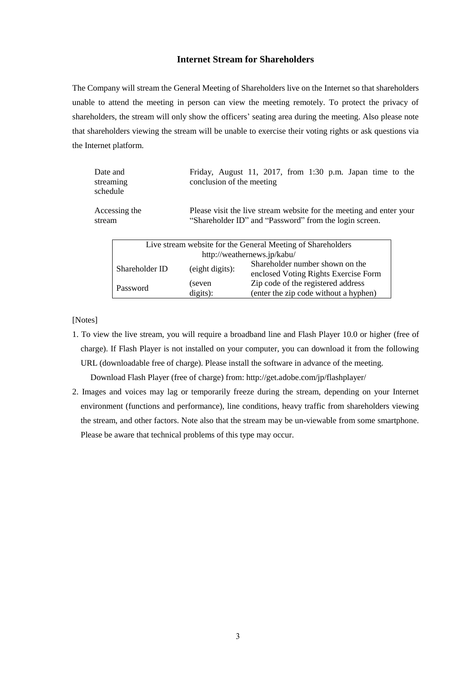# **Internet Stream for Shareholders**

The Company will stream the General Meeting of Shareholders live on the Internet so that shareholders unable to attend the meeting in person can view the meeting remotely. To protect the privacy of shareholders, the stream will only show the officers' seating area during the meeting. Also please note that shareholders viewing the stream will be unable to exercise their voting rights or ask questions via the Internet platform.

| Date and<br>streaming<br>schedule | Friday, August 11, 2017, from 1:30 p.m. Japan time to the<br>conclusion of the meeting                                        |
|-----------------------------------|-------------------------------------------------------------------------------------------------------------------------------|
| Accessing the<br>stream           | Please visit the live stream website for the meeting and enter your<br>"Shareholder ID" and "Password" from the login screen. |
|                                   |                                                                                                                               |

| Live stream website for the General Meeting of Shareholders |                             |                                                                             |  |  |  |
|-------------------------------------------------------------|-----------------------------|-----------------------------------------------------------------------------|--|--|--|
|                                                             | http://weathernews.jp/kabu/ |                                                                             |  |  |  |
| Shareholder ID                                              | (eight digits):             | Shareholder number shown on the<br>enclosed Voting Rights Exercise Form     |  |  |  |
| Password                                                    | (seven<br>digits):          | Zip code of the registered address<br>(enter the zip code without a hyphen) |  |  |  |

[Notes]

1. To view the live stream, you will require a broadband line and Flash Player 10.0 or higher (free of charge). If Flash Player is not installed on your computer, you can download it from the following URL (downloadable free of charge). Please install the software in advance of the meeting.

Download Flash Player (free of charge) from: http://get.adobe.com/jp/flashplayer/

2. Images and voices may lag or temporarily freeze during the stream, depending on your Internet environment (functions and performance), line conditions, heavy traffic from shareholders viewing the stream, and other factors. Note also that the stream may be un-viewable from some smartphone. Please be aware that technical problems of this type may occur.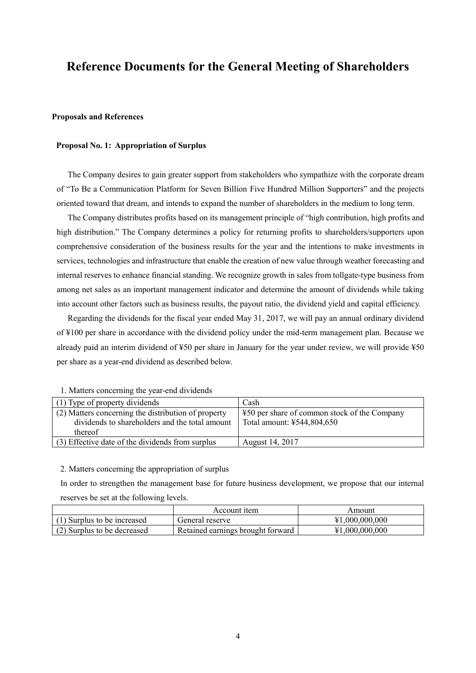# **Reference Documents for the General Meeting of Shareholders**

## **Proposals and References**

## **Proposal No. 1: Appropriation of Surplus**

The Company desires to gain greater support from stakeholders who sympathize with the corporate dream of "To Be a Communication Platform for Seven Billion Five Hundred Million Supporters" and the projects oriented toward that dream, and intends to expand the number of shareholders in the medium to long term.

The Company distributes profits based on its management principle of "high contribution, high profits and high distribution." The Company determines a policy for returning profits to shareholders/supporters upon comprehensive consideration of the business results for the year and the intentions to make investments in services, technologies and infrastructure that enable the creation of new value through weather forecasting and internal reserves to enhance financial standing. We recognize growth in sales from tollgate-type business from among net sales as an important management indicator and determine the amount of dividends while taking into account other factors such as business results, the payout ratio, the dividend yield and capital efficiency.

Regarding the dividends for the fiscal year ended May 31, 2017, we will pay an annual ordinary dividend of ¥100 per share in accordance with the dividend policy under the mid-term management plan. Because we already paid an interim dividend of ¥50 per share in January for the year under review, we will provide ¥50 per share as a year-end dividend as described below.

| (1) Type of property dividends                      | Cash                                         |
|-----------------------------------------------------|----------------------------------------------|
| (2) Matters concerning the distribution of property | ¥50 per share of common stock of the Company |
| dividends to shareholders and the total amount      | Total amount: ¥544,804,650                   |
| thereof                                             |                                              |
| (3) Effective date of the dividends from surplus    | August 14, 2017                              |

1. Matters concerning the year-end dividends

#### 2. Matters concerning the appropriation of surplus

In order to strengthen the management base for future business development, we propose that our internal reserves be set at the following levels.

|                             | Account item                      | Amount         |
|-----------------------------|-----------------------------------|----------------|
| (1) Surplus to be increased | General reserve                   | ¥1,000,000,000 |
| (2) Surplus to be decreased | Retained earnings brought forward | ¥1,000,000,000 |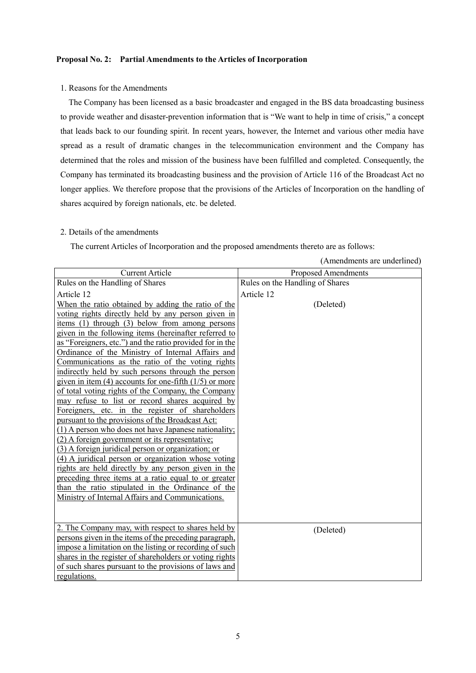## **Proposal No. 2: Partial Amendments to the Articles of Incorporation**

## 1. Reasons for the Amendments

The Company has been licensed as a basic broadcaster and engaged in the BS data broadcasting business to provide weather and disaster-prevention information that is "We want to help in time of crisis," a concept that leads back to our founding spirit. In recent years, however, the Internet and various other media have spread as a result of dramatic changes in the telecommunication environment and the Company has determined that the roles and mission of the business have been fulfilled and completed. Consequently, the Company has terminated its broadcasting business and the provision of Article 116 of the Broadcast Act no longer applies. We therefore propose that the provisions of the Articles of Incorporation on the handling of shares acquired by foreign nationals, etc. be deleted.

## 2. Details of the amendments

The current Articles of Incorporation and the proposed amendments thereto are as follows:

| <b>Current Article</b>                                     | Proposed Amendments             |
|------------------------------------------------------------|---------------------------------|
| Rules on the Handling of Shares                            | Rules on the Handling of Shares |
| Article 12                                                 | Article 12                      |
| When the ratio obtained by adding the ratio of the         | (Deleted)                       |
| voting rights directly held by any person given in         |                                 |
| items $(1)$ through $(3)$ below from among persons         |                                 |
| given in the following items (hereinafter referred to      |                                 |
| as "Foreigners, etc.") and the ratio provided for in the   |                                 |
| Ordinance of the Ministry of Internal Affairs and          |                                 |
| Communications as the ratio of the voting rights           |                                 |
| indirectly held by such persons through the person         |                                 |
| given in item $(4)$ accounts for one-fifth $(1/5)$ or more |                                 |
| of total voting rights of the Company, the Company         |                                 |
| may refuse to list or record shares acquired by            |                                 |
| Foreigners, etc. in the register of shareholders           |                                 |
| pursuant to the provisions of the Broadcast Act:           |                                 |
| (1) A person who does not have Japanese nationality;       |                                 |
| (2) A foreign government or its representative;            |                                 |
| (3) A foreign juridical person or organization; or         |                                 |
| (4) A juridical person or organization whose voting        |                                 |
| rights are held directly by any person given in the        |                                 |
| preceding three items at a ratio equal to or greater       |                                 |
| than the ratio stipulated in the Ordinance of the          |                                 |
| Ministry of Internal Affairs and Communications.           |                                 |
|                                                            |                                 |
|                                                            |                                 |
| 2. The Company may, with respect to shares held by         | (Deleted)                       |
| persons given in the items of the preceding paragraph,     |                                 |
| impose a limitation on the listing or recording of such    |                                 |
| shares in the register of shareholders or voting rights    |                                 |
| of such shares pursuant to the provisions of laws and      |                                 |
| regulations.                                               |                                 |

(Amendments are underlined)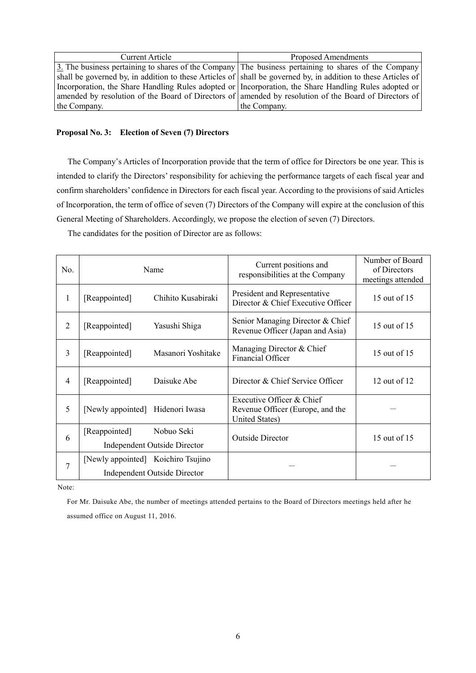| Current Article | Proposed Amendments                                                                                                |
|-----------------|--------------------------------------------------------------------------------------------------------------------|
|                 | $\overline{3}$ . The business pertaining to shares of the Company The business pertaining to shares of the Company |
|                 | shall be governed by, in addition to these Articles of shall be governed by, in addition to these Articles of      |
|                 | Incorporation, the Share Handling Rules adopted or Incorporation, the Share Handling Rules adopted or              |
|                 | amended by resolution of the Board of Directors of amended by resolution of the Board of Directors of              |
| the Company.    | the Company.                                                                                                       |

## **Proposal No. 3: Election of Seven (7) Directors**

The Company's Articles of Incorporation provide that the term of office for Directors be one year. This is intended to clarify the Directors' responsibility for achieving the performance targets of each fiscal year and confirm shareholders' confidence in Directors for each fiscal year. According to the provisions of said Articles of Incorporation, the term of office of seven (7) Directors of the Company will expire at the conclusion of this General Meeting of Shareholders. Accordingly, we propose the election of seven (7) Directors.

The candidates for the position of Director are as follows:

| N <sub>0</sub> | Name                                                                      | Current positions and<br>responsibilities at the Company                        | Number of Board<br>of Directors<br>meetings attended |
|----------------|---------------------------------------------------------------------------|---------------------------------------------------------------------------------|------------------------------------------------------|
| 1              | Chihito Kusabiraki<br>[Reappointed]                                       | President and Representative<br>Director & Chief Executive Officer              | 15 out of 15                                         |
| $\overline{2}$ | [Reappointed]<br>Yasushi Shiga                                            | Senior Managing Director & Chief<br>Revenue Officer (Japan and Asia)            | 15 out of 15                                         |
| 3              | Masanori Yoshitake<br>[Reappointed]                                       | Managing Director & Chief<br>Financial Officer                                  | 15 out of 15                                         |
| $\overline{4}$ | [Reappointed]<br>Daisuke Abe                                              | Director & Chief Service Officer                                                | 12 out of 12                                         |
| 5              | [Newly appointed] Hidenori Iwasa                                          | Executive Officer & Chief<br>Revenue Officer (Europe, and the<br>United States) |                                                      |
| 6              | [Reappointed]<br>Nobuo Seki<br><b>Independent Outside Director</b>        | <b>Outside Director</b>                                                         | 15 out of 15                                         |
| 7              | [Newly appointed] Koichiro Tsujino<br><b>Independent Outside Director</b> |                                                                                 |                                                      |

Note:

For Mr. Daisuke Abe, the number of meetings attended pertains to the Board of Directors meetings held after he assumed office on August 11, 2016.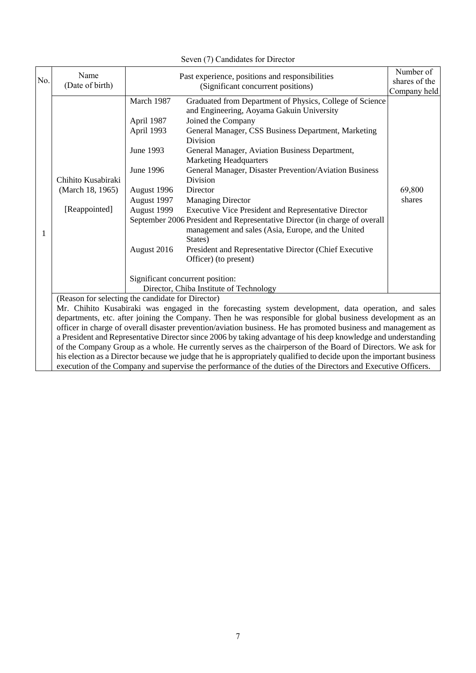|                                                                                                                                                                                                                                                                                                                                                                                                                                                                                                                                                                                                                                                                                                                                                                                                                                                                      | Seven (7) Candidates for Director                       |                                                                                                                              |                                                                                                                                                                                                                                                                                                                                                                                                                                                                                                                                                                                                                                                                                                                               |                                            |  |  |
|----------------------------------------------------------------------------------------------------------------------------------------------------------------------------------------------------------------------------------------------------------------------------------------------------------------------------------------------------------------------------------------------------------------------------------------------------------------------------------------------------------------------------------------------------------------------------------------------------------------------------------------------------------------------------------------------------------------------------------------------------------------------------------------------------------------------------------------------------------------------|---------------------------------------------------------|------------------------------------------------------------------------------------------------------------------------------|-------------------------------------------------------------------------------------------------------------------------------------------------------------------------------------------------------------------------------------------------------------------------------------------------------------------------------------------------------------------------------------------------------------------------------------------------------------------------------------------------------------------------------------------------------------------------------------------------------------------------------------------------------------------------------------------------------------------------------|--------------------------------------------|--|--|
| No.                                                                                                                                                                                                                                                                                                                                                                                                                                                                                                                                                                                                                                                                                                                                                                                                                                                                  | Name<br>(Date of birth)                                 |                                                                                                                              | Past experience, positions and responsibilities<br>(Significant concurrent positions)                                                                                                                                                                                                                                                                                                                                                                                                                                                                                                                                                                                                                                         | Number of<br>shares of the<br>Company held |  |  |
| 1                                                                                                                                                                                                                                                                                                                                                                                                                                                                                                                                                                                                                                                                                                                                                                                                                                                                    | Chihito Kusabiraki<br>(March 18, 1965)<br>[Reappointed] | March 1987<br>April 1987<br>April 1993<br>June 1993<br>June 1996<br>August 1996<br>August 1997<br>August 1999<br>August 2016 | Graduated from Department of Physics, College of Science<br>and Engineering, Aoyama Gakuin University<br>Joined the Company<br>General Manager, CSS Business Department, Marketing<br>Division<br>General Manager, Aviation Business Department,<br><b>Marketing Headquarters</b><br>General Manager, Disaster Prevention/Aviation Business<br>Division<br>Director<br><b>Managing Director</b><br>Executive Vice President and Representative Director<br>September 2006 President and Representative Director (in charge of overall<br>management and sales (Asia, Europe, and the United<br>States)<br>President and Representative Director (Chief Executive<br>Officer) (to present)<br>Significant concurrent position: | 69,800<br>shares                           |  |  |
|                                                                                                                                                                                                                                                                                                                                                                                                                                                                                                                                                                                                                                                                                                                                                                                                                                                                      |                                                         |                                                                                                                              | Director, Chiba Institute of Technology                                                                                                                                                                                                                                                                                                                                                                                                                                                                                                                                                                                                                                                                                       |                                            |  |  |
| (Reason for selecting the candidate for Director)<br>Mr. Chihito Kusabiraki was engaged in the forecasting system development, data operation, and sales<br>departments, etc. after joining the Company. Then he was responsible for global business development as an<br>officer in charge of overall disaster prevention/aviation business. He has promoted business and management as<br>a President and Representative Director since 2006 by taking advantage of his deep knowledge and understanding<br>of the Company Group as a whole. He currently serves as the chairperson of the Board of Directors. We ask for<br>his election as a Director because we judge that he is appropriately qualified to decide upon the important business<br>execution of the Company and supervise the performance of the duties of the Directors and Executive Officers. |                                                         |                                                                                                                              |                                                                                                                                                                                                                                                                                                                                                                                                                                                                                                                                                                                                                                                                                                                               |                                            |  |  |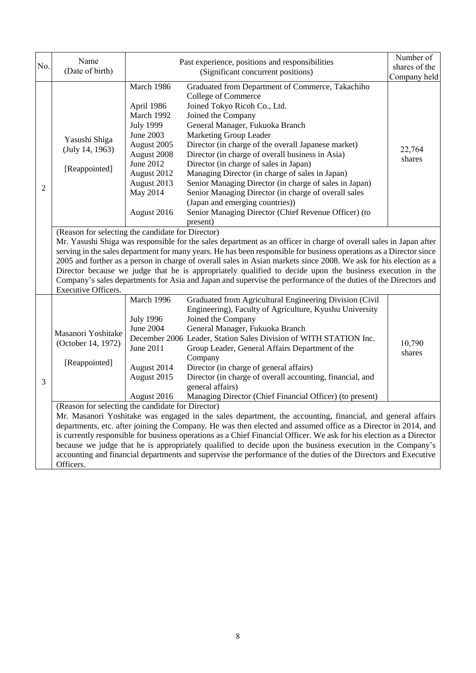| No.            | Name<br>(Date of birth)                                                                                                                                                                                                                                                                                                                                                                                                                                                                                                                                                                                                                                                    |                                                                                                                                                                                    | Past experience, positions and responsibilities<br>(Significant concurrent positions)                                                                                                                                                                                                                                                                                                                                                                                                                                                                                                                                                                                                                                                                                                                                                                                                                                                                                                                                                                                                           | Number of<br>shares of the<br>Company held |  |
|----------------|----------------------------------------------------------------------------------------------------------------------------------------------------------------------------------------------------------------------------------------------------------------------------------------------------------------------------------------------------------------------------------------------------------------------------------------------------------------------------------------------------------------------------------------------------------------------------------------------------------------------------------------------------------------------------|------------------------------------------------------------------------------------------------------------------------------------------------------------------------------------|-------------------------------------------------------------------------------------------------------------------------------------------------------------------------------------------------------------------------------------------------------------------------------------------------------------------------------------------------------------------------------------------------------------------------------------------------------------------------------------------------------------------------------------------------------------------------------------------------------------------------------------------------------------------------------------------------------------------------------------------------------------------------------------------------------------------------------------------------------------------------------------------------------------------------------------------------------------------------------------------------------------------------------------------------------------------------------------------------|--------------------------------------------|--|
| $\overline{2}$ | Yasushi Shiga<br>(July 14, 1963)<br>[Reappointed]                                                                                                                                                                                                                                                                                                                                                                                                                                                                                                                                                                                                                          | March 1986<br>April 1986<br>March 1992<br><b>July 1999</b><br><b>June 2003</b><br>August 2005<br>August 2008<br>June 2012<br>August 2012<br>August 2013<br>May 2014<br>August 2016 | Graduated from Department of Commerce, Takachiho<br>College of Commerce<br>Joined Tokyo Ricoh Co., Ltd.<br>Joined the Company<br>General Manager, Fukuoka Branch<br>Marketing Group Leader<br>Director (in charge of the overall Japanese market)<br>Director (in charge of overall business in Asia)<br>Director (in charge of sales in Japan)<br>Managing Director (in charge of sales in Japan)<br>Senior Managing Director (in charge of sales in Japan)<br>Senior Managing Director (in charge of overall sales<br>(Japan and emerging countries))<br>Senior Managing Director (Chief Revenue Officer) (to<br>present)                                                                                                                                                                                                                                                                                                                                                                                                                                                                     | 22,764<br>shares                           |  |
|                | (Reason for selecting the candidate for Director)<br>Mr. Yasushi Shiga was responsible for the sales department as an officer in charge of overall sales in Japan after<br>serving in the sales department for many years. He has been responsible for business operations as a Director since<br>2005 and further as a person in charge of overall sales in Asian markets since 2008. We ask for his election as a<br>Director because we judge that he is appropriately qualified to decide upon the business execution in the<br>Company's sales departments for Asia and Japan and supervise the performance of the duties of the Directors and<br>Executive Officers. |                                                                                                                                                                                    |                                                                                                                                                                                                                                                                                                                                                                                                                                                                                                                                                                                                                                                                                                                                                                                                                                                                                                                                                                                                                                                                                                 |                                            |  |
| 3              | Masanori Yoshitake<br>(October 14, 1972)<br>[Reappointed]<br>(Reason for selecting the candidate for Director)<br>Officers.                                                                                                                                                                                                                                                                                                                                                                                                                                                                                                                                                | March 1996<br><b>July 1996</b><br><b>June 2004</b><br><b>June 2011</b><br>August 2014<br>August 2015<br>August 2016                                                                | Graduated from Agricultural Engineering Division (Civil<br>Engineering), Faculty of Agriculture, Kyushu University<br>Joined the Company<br>General Manager, Fukuoka Branch<br>December 2006 Leader, Station Sales Division of WITH STATION Inc.<br>Group Leader, General Affairs Department of the<br>Company<br>Director (in charge of general affairs)<br>Director (in charge of overall accounting, financial, and<br>general affairs)<br>Managing Director (Chief Financial Officer) (to present)<br>Mr. Masanori Yoshitake was engaged in the sales department, the accounting, financial, and general affairs<br>departments, etc. after joining the Company. He was then elected and assumed office as a Director in 2014, and<br>is currently responsible for business operations as a Chief Financial Officer. We ask for his election as a Director<br>because we judge that he is appropriately qualified to decide upon the business execution in the Company's<br>accounting and financial departments and supervise the performance of the duties of the Directors and Executive | 10,790<br>shares                           |  |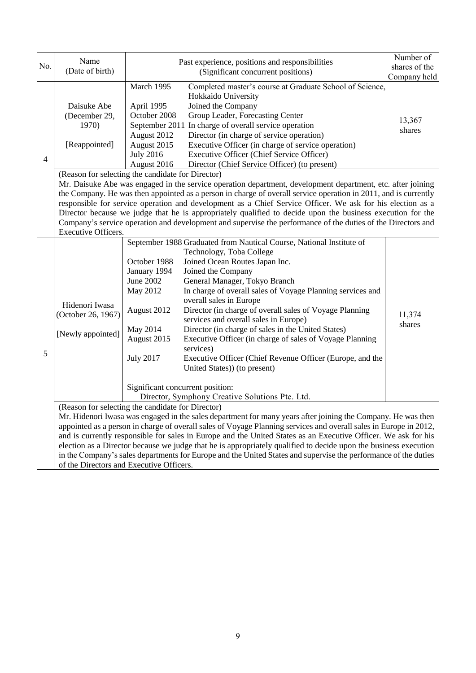| No.            | Name<br>(Date of birth)                                                                                                                                                                                                                                                                                                                                                                                                                                                                                                                                                                                                                                                                     |                                                                                                                                                                                                                                                                                                                                                                                                                                                                                                                                                                                                                                 | Past experience, positions and responsibilities<br>(Significant concurrent positions)                                                                                                                                                                                                                                                                                                                                                                                                                                                                                                                                                                                 | Number of<br>shares of the<br>Company held |  |  |
|----------------|---------------------------------------------------------------------------------------------------------------------------------------------------------------------------------------------------------------------------------------------------------------------------------------------------------------------------------------------------------------------------------------------------------------------------------------------------------------------------------------------------------------------------------------------------------------------------------------------------------------------------------------------------------------------------------------------|---------------------------------------------------------------------------------------------------------------------------------------------------------------------------------------------------------------------------------------------------------------------------------------------------------------------------------------------------------------------------------------------------------------------------------------------------------------------------------------------------------------------------------------------------------------------------------------------------------------------------------|-----------------------------------------------------------------------------------------------------------------------------------------------------------------------------------------------------------------------------------------------------------------------------------------------------------------------------------------------------------------------------------------------------------------------------------------------------------------------------------------------------------------------------------------------------------------------------------------------------------------------------------------------------------------------|--------------------------------------------|--|--|
| $\overline{4}$ | Daisuke Abe<br>(December 29,<br>1970)<br>[Reappointed]                                                                                                                                                                                                                                                                                                                                                                                                                                                                                                                                                                                                                                      | March 1995<br>April 1995<br>October 2008<br>August 2012<br>August 2015<br><b>July 2016</b><br>August 2016                                                                                                                                                                                                                                                                                                                                                                                                                                                                                                                       | Completed master's course at Graduate School of Science,<br>Hokkaido University<br>Joined the Company<br>Group Leader, Forecasting Center<br>September 2011 In charge of overall service operation<br>Director (in charge of service operation)<br>Executive Officer (in charge of service operation)<br>Executive Officer (Chief Service Officer)<br>Director (Chief Service Officer) (to present)                                                                                                                                                                                                                                                                   | 13,367<br>shares                           |  |  |
|                | Executive Officers.                                                                                                                                                                                                                                                                                                                                                                                                                                                                                                                                                                                                                                                                         | (Reason for selecting the candidate for Director)<br>Mr. Daisuke Abe was engaged in the service operation department, development department, etc. after joining<br>the Company. He was then appointed as a person in charge of overall service operation in 2011, and is currently<br>responsible for service operation and development as a Chief Service Officer. We ask for his election as a<br>Director because we judge that he is appropriately qualified to decide upon the business execution for the<br>Company's service operation and development and supervise the performance of the duties of the Directors and |                                                                                                                                                                                                                                                                                                                                                                                                                                                                                                                                                                                                                                                                       |                                            |  |  |
| 5              | Hidenori Iwasa<br>(October 26, 1967)<br>[Newly appointed]                                                                                                                                                                                                                                                                                                                                                                                                                                                                                                                                                                                                                                   | October 1988<br>January 1994<br>June 2002<br>May 2012<br>August 2012<br>May 2014<br>August 2015<br><b>July 2017</b><br>Significant concurrent position:                                                                                                                                                                                                                                                                                                                                                                                                                                                                         | September 1988 Graduated from Nautical Course, National Institute of<br>Technology, Toba College<br>Joined Ocean Routes Japan Inc.<br>Joined the Company<br>General Manager, Tokyo Branch<br>In charge of overall sales of Voyage Planning services and<br>overall sales in Europe<br>Director (in charge of overall sales of Voyage Planning<br>services and overall sales in Europe)<br>Director (in charge of sales in the United States)<br>Executive Officer (in charge of sales of Voyage Planning<br>services)<br>Executive Officer (Chief Revenue Officer (Europe, and the<br>United States)) (to present)<br>Director, Symphony Creative Solutions Pte. Ltd. | 11,374<br>shares                           |  |  |
|                | (Reason for selecting the candidate for Director)<br>Mr. Hidenori Iwasa was engaged in the sales department for many years after joining the Company. He was then<br>appointed as a person in charge of overall sales of Voyage Planning services and overall sales in Europe in 2012,<br>and is currently responsible for sales in Europe and the United States as an Executive Officer. We ask for his<br>election as a Director because we judge that he is appropriately qualified to decide upon the business execution<br>in the Company's sales departments for Europe and the United States and supervise the performance of the duties<br>of the Directors and Executive Officers. |                                                                                                                                                                                                                                                                                                                                                                                                                                                                                                                                                                                                                                 |                                                                                                                                                                                                                                                                                                                                                                                                                                                                                                                                                                                                                                                                       |                                            |  |  |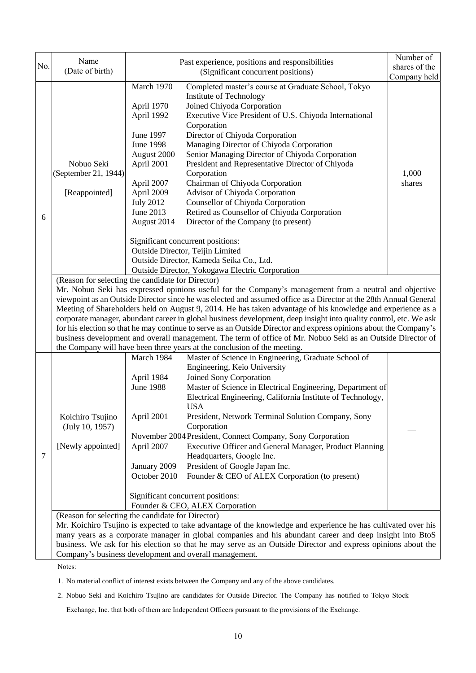| No. | Name<br>(Date of birth)                                                                                                                                                                                                                                                                                                                                                                                                                                                                                                                                                                                                                                                                                                                                                                                                              |                                                                                                                                                                                  | Past experience, positions and responsibilities<br>(Significant concurrent positions)                                                                                                                                                                                                                                                                                                                                                                                                                                                                                                                                                                                                                                                                                       | Number of<br>shares of the<br>Company held |
|-----|--------------------------------------------------------------------------------------------------------------------------------------------------------------------------------------------------------------------------------------------------------------------------------------------------------------------------------------------------------------------------------------------------------------------------------------------------------------------------------------------------------------------------------------------------------------------------------------------------------------------------------------------------------------------------------------------------------------------------------------------------------------------------------------------------------------------------------------|----------------------------------------------------------------------------------------------------------------------------------------------------------------------------------|-----------------------------------------------------------------------------------------------------------------------------------------------------------------------------------------------------------------------------------------------------------------------------------------------------------------------------------------------------------------------------------------------------------------------------------------------------------------------------------------------------------------------------------------------------------------------------------------------------------------------------------------------------------------------------------------------------------------------------------------------------------------------------|--------------------------------------------|
| 6   | Nobuo Seki<br>(September 21, 1944)<br>[Reappointed]                                                                                                                                                                                                                                                                                                                                                                                                                                                                                                                                                                                                                                                                                                                                                                                  | March 1970<br>April 1970<br>April 1992<br>June 1997<br><b>June 1998</b><br>August 2000<br>April 2001<br>April 2007<br>April 2009<br><b>July 2012</b><br>June 2013<br>August 2014 | Completed master's course at Graduate School, Tokyo<br><b>Institute of Technology</b><br>Joined Chiyoda Corporation<br>Executive Vice President of U.S. Chiyoda International<br>Corporation<br>Director of Chiyoda Corporation<br>Managing Director of Chiyoda Corporation<br>Senior Managing Director of Chiyoda Corporation<br>President and Representative Director of Chiyoda<br>Corporation<br>Chairman of Chiyoda Corporation<br>Advisor of Chiyoda Corporation<br>Counsellor of Chiyoda Corporation<br>Retired as Counsellor of Chiyoda Corporation<br>Director of the Company (to present)<br>Significant concurrent positions:<br>Outside Director, Teijin Limited<br>Outside Director, Kameda Seika Co., Ltd.<br>Outside Director, Yokogawa Electric Corporation | 1,000<br>shares                            |
|     | (Reason for selecting the candidate for Director)<br>Mr. Nobuo Seki has expressed opinions useful for the Company's management from a neutral and objective<br>viewpoint as an Outside Director since he was elected and assumed office as a Director at the 28th Annual General<br>Meeting of Shareholders held on August 9, 2014. He has taken advantage of his knowledge and experience as a<br>corporate manager, abundant career in global business development, deep insight into quality control, etc. We ask<br>for his election so that he may continue to serve as an Outside Director and express opinions about the Company's<br>business development and overall management. The term of office of Mr. Nobuo Seki as an Outside Director of<br>the Company will have been three years at the conclusion of the meeting. |                                                                                                                                                                                  |                                                                                                                                                                                                                                                                                                                                                                                                                                                                                                                                                                                                                                                                                                                                                                             |                                            |
| 7   | Koichiro Tsujino<br>(July 10, 1957)<br>[Newly appointed]<br>(Reason for selecting the candidate for Director)                                                                                                                                                                                                                                                                                                                                                                                                                                                                                                                                                                                                                                                                                                                        | March 1984<br>April 1984<br><b>June 1988</b><br>April 2001<br>April 2007<br>January 2009<br>October 2010                                                                         | Master of Science in Engineering, Graduate School of<br>Engineering, Keio University<br>Joined Sony Corporation<br>Master of Science in Electrical Engineering, Department of<br>Electrical Engineering, California Institute of Technology,<br><b>USA</b><br>President, Network Terminal Solution Company, Sony<br>Corporation<br>November 2004 President, Connect Company, Sony Corporation<br>Executive Officer and General Manager, Product Planning<br>Headquarters, Google Inc.<br>President of Google Japan Inc.<br>Founder & CEO of ALEX Corporation (to present)<br>Significant concurrent positions:<br>Founder & CEO, ALEX Corporation<br>Mr. Koichiro Tsujino is expected to take advantage of the knowledge and experience he has cultivated over his          |                                            |
|     | many years as a corporate manager in global companies and his abundant career and deep insight into BtoS<br>business. We ask for his election so that he may serve as an Outside Director and express opinions about the<br>Company's business development and overall management.                                                                                                                                                                                                                                                                                                                                                                                                                                                                                                                                                   |                                                                                                                                                                                  |                                                                                                                                                                                                                                                                                                                                                                                                                                                                                                                                                                                                                                                                                                                                                                             |                                            |

Notes:

1. No material conflict of interest exists between the Company and any of the above candidates.

2. Nobuo Seki and Koichiro Tsujino are candidates for Outside Director. The Company has notified to Tokyo Stock

Exchange, Inc. that both of them are Independent Officers pursuant to the provisions of the Exchange.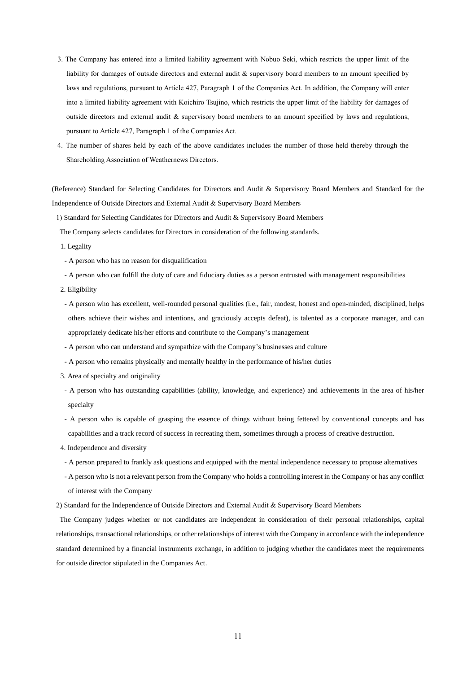- 3. The Company has entered into a limited liability agreement with Nobuo Seki, which restricts the upper limit of the liability for damages of outside directors and external audit & supervisory board members to an amount specified by laws and regulations, pursuant to Article 427, Paragraph 1 of the Companies Act. In addition, the Company will enter into a limited liability agreement with Koichiro Tsujino, which restricts the upper limit of the liability for damages of outside directors and external audit & supervisory board members to an amount specified by laws and regulations, pursuant to Article 427, Paragraph 1 of the Companies Act.
- 4. The number of shares held by each of the above candidates includes the number of those held thereby through the Shareholding Association of Weathernews Directors.

(Reference) Standard for Selecting Candidates for Directors and Audit & Supervisory Board Members and Standard for the Independence of Outside Directors and External Audit & Supervisory Board Members

1) Standard for Selecting Candidates for Directors and Audit & Supervisory Board Members

The Company selects candidates for Directors in consideration of the following standards.

1. Legality

- A person who has no reason for disqualification

- A person who can fulfill the duty of care and fiduciary duties as a person entrusted with management responsibilities
- 2. Eligibility
- A person who has excellent, well-rounded personal qualities (i.e., fair, modest, honest and open-minded, disciplined, helps others achieve their wishes and intentions, and graciously accepts defeat), is talented as a corporate manager, and can appropriately dedicate his/her efforts and contribute to the Company's management
- A person who can understand and sympathize with the Company's businesses and culture
- A person who remains physically and mentally healthy in the performance of his/her duties
- 3. Area of specialty and originality
- A person who has outstanding capabilities (ability, knowledge, and experience) and achievements in the area of his/her specialty
- A person who is capable of grasping the essence of things without being fettered by conventional concepts and has capabilities and a track record of success in recreating them, sometimes through a process of creative destruction.
- 4. Independence and diversity
- A person prepared to frankly ask questions and equipped with the mental independence necessary to propose alternatives
- A person who is not a relevant person from the Company who holds a controlling interest in the Company or has any conflict of interest with the Company
- 2) Standard for the Independence of Outside Directors and External Audit & Supervisory Board Members

The Company judges whether or not candidates are independent in consideration of their personal relationships, capital relationships, transactional relationships, or other relationships of interest with the Company in accordance with the independence standard determined by a financial instruments exchange, in addition to judging whether the candidates meet the requirements for outside director stipulated in the Companies Act.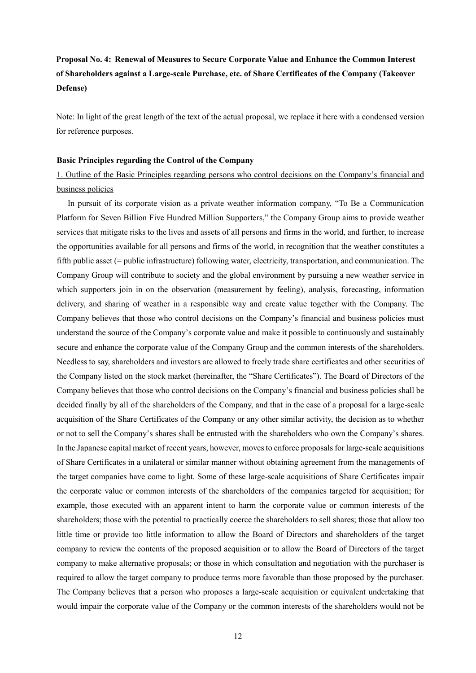# **Proposal No. 4: Renewal of Measures to Secure Corporate Value and Enhance the Common Interest of Shareholders against a Large-scale Purchase, etc. of Share Certificates of the Company (Takeover Defense)**

Note: In light of the great length of the text of the actual proposal, we replace it here with a condensed version for reference purposes.

## **Basic Principles regarding the Control of the Company**

1. Outline of the Basic Principles regarding persons who control decisions on the Company's financial and business policies

In pursuit of its corporate vision as a private weather information company, "To Be a Communication Platform for Seven Billion Five Hundred Million Supporters," the Company Group aims to provide weather services that mitigate risks to the lives and assets of all persons and firms in the world, and further, to increase the opportunities available for all persons and firms of the world, in recognition that the weather constitutes a fifth public asset (= public infrastructure) following water, electricity, transportation, and communication. The Company Group will contribute to society and the global environment by pursuing a new weather service in which supporters join in on the observation (measurement by feeling), analysis, forecasting, information delivery, and sharing of weather in a responsible way and create value together with the Company. The Company believes that those who control decisions on the Company's financial and business policies must understand the source of the Company's corporate value and make it possible to continuously and sustainably secure and enhance the corporate value of the Company Group and the common interests of the shareholders. Needless to say, shareholders and investors are allowed to freely trade share certificates and other securities of the Company listed on the stock market (hereinafter, the "Share Certificates"). The Board of Directors of the Company believes that those who control decisions on the Company's financial and business policies shall be decided finally by all of the shareholders of the Company, and that in the case of a proposal for a large-scale acquisition of the Share Certificates of the Company or any other similar activity, the decision as to whether or not to sell the Company's shares shall be entrusted with the shareholders who own the Company's shares. In the Japanese capital market of recent years, however, moves to enforce proposals for large-scale acquisitions of Share Certificates in a unilateral or similar manner without obtaining agreement from the managements of the target companies have come to light. Some of these large-scale acquisitions of Share Certificates impair the corporate value or common interests of the shareholders of the companies targeted for acquisition; for example, those executed with an apparent intent to harm the corporate value or common interests of the shareholders; those with the potential to practically coerce the shareholders to sell shares; those that allow too little time or provide too little information to allow the Board of Directors and shareholders of the target company to review the contents of the proposed acquisition or to allow the Board of Directors of the target company to make alternative proposals; or those in which consultation and negotiation with the purchaser is required to allow the target company to produce terms more favorable than those proposed by the purchaser. The Company believes that a person who proposes a large-scale acquisition or equivalent undertaking that would impair the corporate value of the Company or the common interests of the shareholders would not be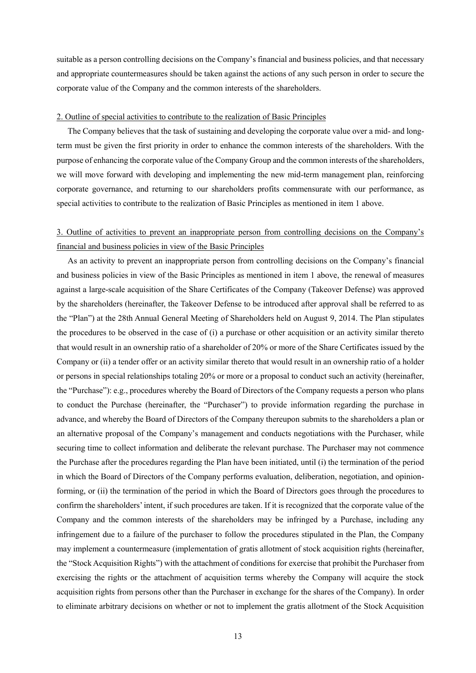suitable as a person controlling decisions on the Company's financial and business policies, and that necessary and appropriate countermeasures should be taken against the actions of any such person in order to secure the corporate value of the Company and the common interests of the shareholders.

## 2. Outline of special activities to contribute to the realization of Basic Principles

The Company believes that the task of sustaining and developing the corporate value over a mid- and longterm must be given the first priority in order to enhance the common interests of the shareholders. With the purpose of enhancing the corporate value of the Company Group and the common interests of the shareholders, we will move forward with developing and implementing the new mid-term management plan, reinforcing corporate governance, and returning to our shareholders profits commensurate with our performance, as special activities to contribute to the realization of Basic Principles as mentioned in item 1 above.

# 3. Outline of activities to prevent an inappropriate person from controlling decisions on the Company's financial and business policies in view of the Basic Principles

As an activity to prevent an inappropriate person from controlling decisions on the Company's financial and business policies in view of the Basic Principles as mentioned in item 1 above, the renewal of measures against a large-scale acquisition of the Share Certificates of the Company (Takeover Defense) was approved by the shareholders (hereinafter, the Takeover Defense to be introduced after approval shall be referred to as the "Plan") at the 28th Annual General Meeting of Shareholders held on August 9, 2014. The Plan stipulates the procedures to be observed in the case of (i) a purchase or other acquisition or an activity similar thereto that would result in an ownership ratio of a shareholder of 20% or more of the Share Certificates issued by the Company or (ii) a tender offer or an activity similar thereto that would result in an ownership ratio of a holder or persons in special relationships totaling 20% or more or a proposal to conduct such an activity (hereinafter, the "Purchase"): e.g., procedures whereby the Board of Directors of the Company requests a person who plans to conduct the Purchase (hereinafter, the "Purchaser") to provide information regarding the purchase in advance, and whereby the Board of Directors of the Company thereupon submits to the shareholders a plan or an alternative proposal of the Company's management and conducts negotiations with the Purchaser, while securing time to collect information and deliberate the relevant purchase. The Purchaser may not commence the Purchase after the procedures regarding the Plan have been initiated, until (i) the termination of the period in which the Board of Directors of the Company performs evaluation, deliberation, negotiation, and opinionforming, or (ii) the termination of the period in which the Board of Directors goes through the procedures to confirm the shareholders' intent, if such procedures are taken. If it is recognized that the corporate value of the Company and the common interests of the shareholders may be infringed by a Purchase, including any infringement due to a failure of the purchaser to follow the procedures stipulated in the Plan, the Company may implement a countermeasure (implementation of gratis allotment of stock acquisition rights (hereinafter, the "Stock Acquisition Rights") with the attachment of conditions for exercise that prohibit the Purchaser from exercising the rights or the attachment of acquisition terms whereby the Company will acquire the stock acquisition rights from persons other than the Purchaser in exchange for the shares of the Company). In order to eliminate arbitrary decisions on whether or not to implement the gratis allotment of the Stock Acquisition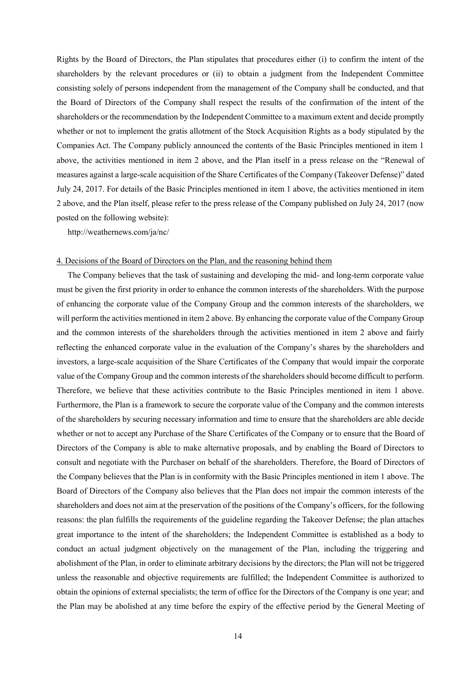Rights by the Board of Directors, the Plan stipulates that procedures either (i) to confirm the intent of the shareholders by the relevant procedures or (ii) to obtain a judgment from the Independent Committee consisting solely of persons independent from the management of the Company shall be conducted, and that the Board of Directors of the Company shall respect the results of the confirmation of the intent of the shareholders or the recommendation by the Independent Committee to a maximum extent and decide promptly whether or not to implement the gratis allotment of the Stock Acquisition Rights as a body stipulated by the Companies Act. The Company publicly announced the contents of the Basic Principles mentioned in item 1 above, the activities mentioned in item 2 above, and the Plan itself in a press release on the "Renewal of measures against a large-scale acquisition of the Share Certificates of the Company (Takeover Defense)" dated July 24, 2017. For details of the Basic Principles mentioned in item 1 above, the activities mentioned in item 2 above, and the Plan itself, please refer to the press release of the Company published on July 24, 2017 (now posted on the following website):

http://weathernews.com/ja/nc/

## 4. Decisions of the Board of Directors on the Plan, and the reasoning behind them

The Company believes that the task of sustaining and developing the mid- and long-term corporate value must be given the first priority in order to enhance the common interests of the shareholders. With the purpose of enhancing the corporate value of the Company Group and the common interests of the shareholders, we will perform the activities mentioned in item 2 above. By enhancing the corporate value of the Company Group and the common interests of the shareholders through the activities mentioned in item 2 above and fairly reflecting the enhanced corporate value in the evaluation of the Company's shares by the shareholders and investors, a large-scale acquisition of the Share Certificates of the Company that would impair the corporate value of the Company Group and the common interests of the shareholders should become difficult to perform. Therefore, we believe that these activities contribute to the Basic Principles mentioned in item 1 above. Furthermore, the Plan is a framework to secure the corporate value of the Company and the common interests of the shareholders by securing necessary information and time to ensure that the shareholders are able decide whether or not to accept any Purchase of the Share Certificates of the Company or to ensure that the Board of Directors of the Company is able to make alternative proposals, and by enabling the Board of Directors to consult and negotiate with the Purchaser on behalf of the shareholders. Therefore, the Board of Directors of the Company believes that the Plan is in conformity with the Basic Principles mentioned in item 1 above. The Board of Directors of the Company also believes that the Plan does not impair the common interests of the shareholders and does not aim at the preservation of the positions of the Company's officers, for the following reasons: the plan fulfills the requirements of the guideline regarding the Takeover Defense; the plan attaches great importance to the intent of the shareholders; the Independent Committee is established as a body to conduct an actual judgment objectively on the management of the Plan, including the triggering and abolishment of the Plan, in order to eliminate arbitrary decisions by the directors; the Plan will not be triggered unless the reasonable and objective requirements are fulfilled; the Independent Committee is authorized to obtain the opinions of external specialists; the term of office for the Directors of the Company is one year; and the Plan may be abolished at any time before the expiry of the effective period by the General Meeting of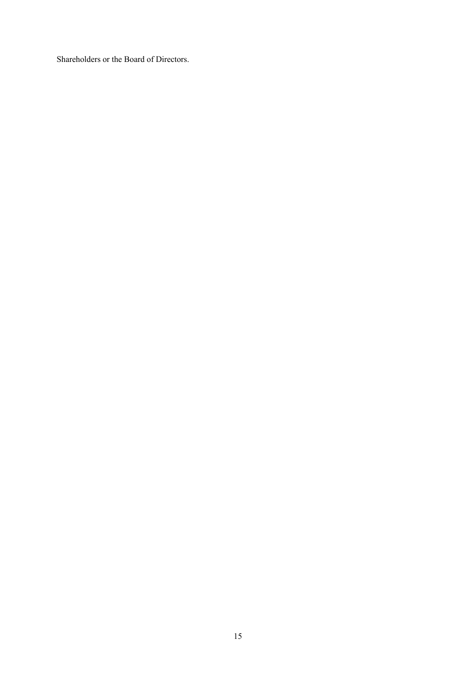Shareholders or the Board of Directors.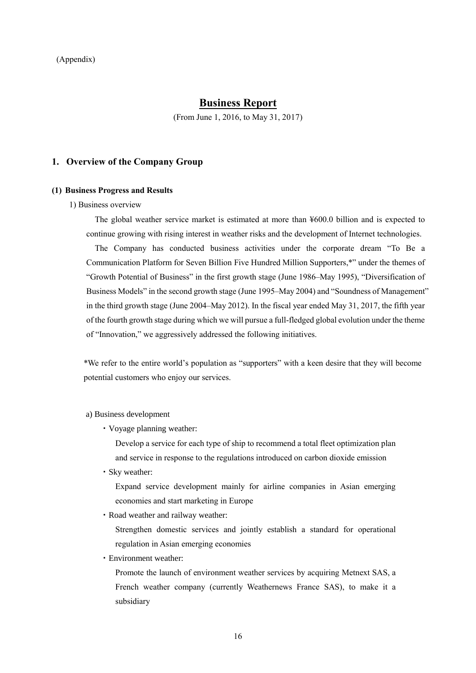# **Business Report**

(From June 1, 2016, to May 31, 2017)

## **1. Overview of the Company Group**

## **(1) Business Progress and Results**

1) Business overview

The global weather service market is estimated at more than ¥600.0 billion and is expected to continue growing with rising interest in weather risks and the development of Internet technologies.

The Company has conducted business activities under the corporate dream "To Be a Communication Platform for Seven Billion Five Hundred Million Supporters,\*" under the themes of "Growth Potential of Business" in the first growth stage (June 1986–May 1995), "Diversification of Business Models" in the second growth stage (June 1995–May 2004) and "Soundness of Management" in the third growth stage (June 2004–May 2012). In the fiscal year ended May 31, 2017, the fifth year of the fourth growth stage during which we will pursue a full-fledged global evolution under the theme of "Innovation," we aggressively addressed the following initiatives.

\*We refer to the entire world's population as "supporters" with a keen desire that they will become potential customers who enjoy our services.

### a) Business development

・Voyage planning weather:

Develop a service for each type of ship to recommend a total fleet optimization plan and service in response to the regulations introduced on carbon dioxide emission

・Sky weather:

Expand service development mainly for airline companies in Asian emerging economies and start marketing in Europe

・Road weather and railway weather:

Strengthen domestic services and jointly establish a standard for operational regulation in Asian emerging economies

・Environment weather:

Promote the launch of environment weather services by acquiring Metnext SAS, a French weather company (currently Weathernews France SAS), to make it a subsidiary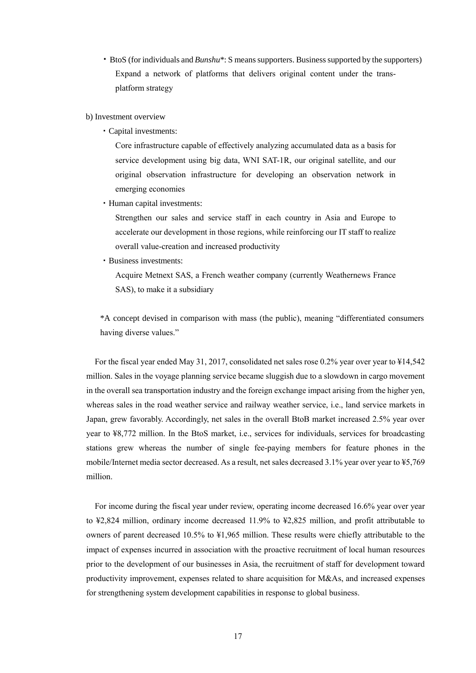- ・BtoS (for individuals and *Bunshu*\*: S means supporters. Business supported by the supporters) Expand a network of platforms that delivers original content under the transplatform strategy
- b) Investment overview
	- ・Capital investments:

Core infrastructure capable of effectively analyzing accumulated data as a basis for service development using big data, WNI SAT-1R, our original satellite, and our original observation infrastructure for developing an observation network in emerging economies

・Human capital investments:

Strengthen our sales and service staff in each country in Asia and Europe to accelerate our development in those regions, while reinforcing our IT staff to realize overall value-creation and increased productivity

・Business investments:

Acquire Metnext SAS, a French weather company (currently Weathernews France SAS), to make it a subsidiary

\*A concept devised in comparison with mass (the public), meaning "differentiated consumers having diverse values."

For the fiscal year ended May 31, 2017, consolidated net sales rose 0.2% year over year to ¥14,542 million. Sales in the voyage planning service became sluggish due to a slowdown in cargo movement in the overall sea transportation industry and the foreign exchange impact arising from the higher yen, whereas sales in the road weather service and railway weather service, i.e., land service markets in Japan, grew favorably. Accordingly, net sales in the overall BtoB market increased 2.5% year over year to ¥8,772 million. In the BtoS market, i.e., services for individuals, services for broadcasting stations grew whereas the number of single fee-paying members for feature phones in the mobile/Internet media sector decreased. As a result, net sales decreased 3.1% year over year to ¥5,769 million.

For income during the fiscal year under review, operating income decreased 16.6% year over year to ¥2,824 million, ordinary income decreased 11.9% to ¥2,825 million, and profit attributable to owners of parent decreased 10.5% to ¥1,965 million. These results were chiefly attributable to the impact of expenses incurred in association with the proactive recruitment of local human resources prior to the development of our businesses in Asia, the recruitment of staff for development toward productivity improvement, expenses related to share acquisition for M&As, and increased expenses for strengthening system development capabilities in response to global business.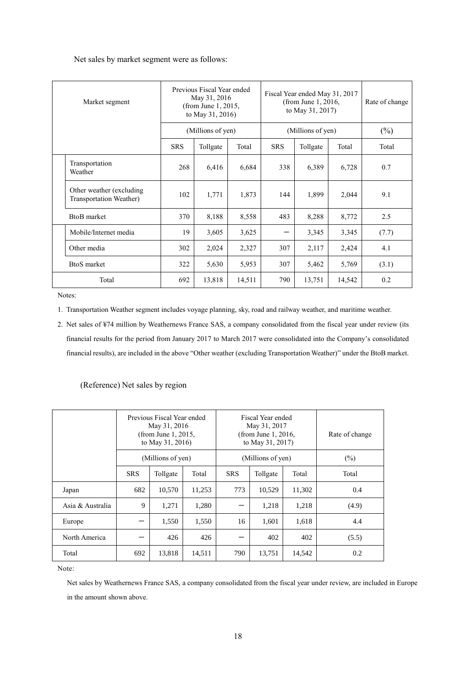Net sales by market segment were as follows:

|                    | Previous Fiscal Year ended<br>May 31, 2016<br>Market segment<br>(from June 1, 2015,<br>to May 31, 2016) |            | Fiscal Year ended May 31, 2017<br>(from June 1, 2016,<br>to May 31, 2017) |        |                   | Rate of change |        |        |
|--------------------|---------------------------------------------------------------------------------------------------------|------------|---------------------------------------------------------------------------|--------|-------------------|----------------|--------|--------|
|                    |                                                                                                         |            | (Millions of yen)                                                         |        | (Millions of yen) |                |        | $(\%)$ |
|                    |                                                                                                         | <b>SRS</b> | Tollgate                                                                  | Total  | <b>SRS</b>        | Tollgate       | Total  | Total  |
|                    | Transportation<br>Weather                                                                               | 268        | 6,416                                                                     | 6,684  | 338               | 6,389          | 6,728  | 0.7    |
|                    | Other weather (excluding)<br>Transportation Weather)                                                    | 102        | 1,771                                                                     | 1,873  | 144               | 1,899          | 2,044  | 9.1    |
|                    | <b>BtoB</b> market                                                                                      | 370        | 8,188                                                                     | 8,558  | 483               | 8,288          | 8,772  | 2.5    |
|                    | Mobile/Internet media                                                                                   | 19         | 3,605                                                                     | 3,625  |                   | 3,345          | 3,345  | (7.7)  |
|                    | Other media                                                                                             | 302        | 2,024                                                                     | 2,327  | 307               | 2,117          | 2,424  | 4.1    |
| <b>BtoS</b> market |                                                                                                         | 322        | 5,630                                                                     | 5,953  | 307               | 5,462          | 5,769  | (3.1)  |
|                    | Total                                                                                                   | 692        | 13,818                                                                    | 14,511 | 790               | 13,751         | 14,542 | 0.2    |

Notes:

- 1. Transportation Weather segment includes voyage planning, sky, road and railway weather, and maritime weather.
- 2. Net sales of ¥74 million by Weathernews France SAS, a company consolidated from the fiscal year under review (its financial results for the period from January 2017 to March 2017 were consolidated into the Company's consolidated financial results), are included in the above "Other weather (excluding Transportation Weather)" under the BtoB market.

(Reference) Net sales by region

|                  | Previous Fiscal Year ended<br>May 31, 2016<br>(from June 1, 2015,<br>to May 31, 2016) |        |            | Fiscal Year ended<br>May 31, 2017<br>(from June 1, 2016,<br>to May 31, 2017) |        |        | Rate of change |
|------------------|---------------------------------------------------------------------------------------|--------|------------|------------------------------------------------------------------------------|--------|--------|----------------|
|                  | (Millions of yen)<br><b>SRS</b><br>Total<br>Tollgate                                  |        |            | (Millions of yen)                                                            | $(\%)$ |        |                |
|                  |                                                                                       |        | <b>SRS</b> | Tollgate                                                                     | Total  | Total  |                |
| Japan            | 682                                                                                   | 10,570 | 11,253     | 773                                                                          | 10,529 | 11,302 | 0.4            |
| Asia & Australia | 9                                                                                     | 1,271  | 1,280      |                                                                              | 1,218  | 1,218  | (4.9)          |
| Europe           |                                                                                       | 1,550  | 1,550      | 16                                                                           | 1.601  | 1,618  | 4.4            |
| North America    |                                                                                       | 426    | 426        |                                                                              | 402    | 402    | (5.5)          |
| Total            | 692                                                                                   | 13,818 | 14,511     | 790                                                                          | 13,751 | 14,542 | 0.2            |

Note:

Net sales by Weathernews France SAS, a company consolidated from the fiscal year under review, are included in Europe in the amount shown above.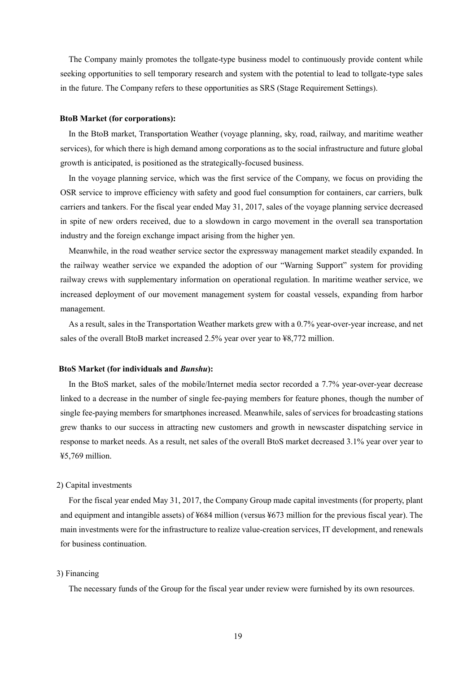The Company mainly promotes the tollgate-type business model to continuously provide content while seeking opportunities to sell temporary research and system with the potential to lead to tollgate-type sales in the future. The Company refers to these opportunities as SRS (Stage Requirement Settings).

### **BtoB Market (for corporations):**

In the BtoB market, Transportation Weather (voyage planning, sky, road, railway, and maritime weather services), for which there is high demand among corporations as to the social infrastructure and future global growth is anticipated, is positioned as the strategically-focused business.

In the voyage planning service, which was the first service of the Company, we focus on providing the OSR service to improve efficiency with safety and good fuel consumption for containers, car carriers, bulk carriers and tankers. For the fiscal year ended May 31, 2017, sales of the voyage planning service decreased in spite of new orders received, due to a slowdown in cargo movement in the overall sea transportation industry and the foreign exchange impact arising from the higher yen.

Meanwhile, in the road weather service sector the expressway management market steadily expanded. In the railway weather service we expanded the adoption of our "Warning Support" system for providing railway crews with supplementary information on operational regulation. In maritime weather service, we increased deployment of our movement management system for coastal vessels, expanding from harbor management.

As a result, sales in the Transportation Weather markets grew with a 0.7% year-over-year increase, and net sales of the overall BtoB market increased 2.5% year over year to ¥8,772 million.

## **BtoS Market (for individuals and** *Bunshu***):**

In the BtoS market, sales of the mobile/Internet media sector recorded a 7.7% year-over-year decrease linked to a decrease in the number of single fee-paying members for feature phones, though the number of single fee-paying members for smartphones increased. Meanwhile, sales of services for broadcasting stations grew thanks to our success in attracting new customers and growth in newscaster dispatching service in response to market needs. As a result, net sales of the overall BtoS market decreased 3.1% year over year to ¥5,769 million.

## 2) Capital investments

For the fiscal year ended May 31, 2017, the Company Group made capital investments (for property, plant and equipment and intangible assets) of ¥684 million (versus ¥673 million for the previous fiscal year). The main investments were for the infrastructure to realize value-creation services, IT development, and renewals for business continuation.

## 3) Financing

The necessary funds of the Group for the fiscal year under review were furnished by its own resources.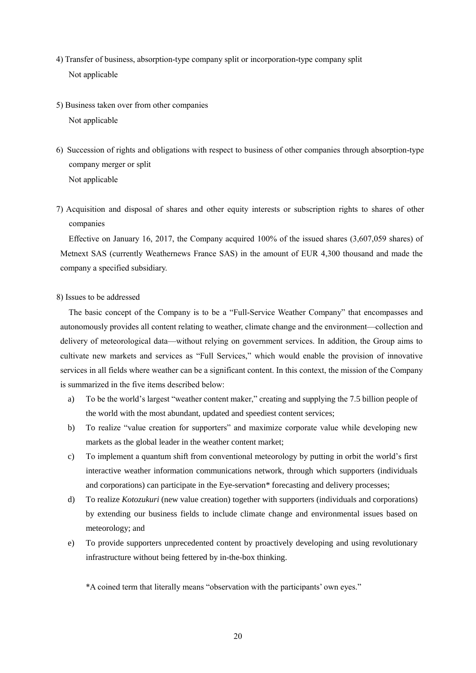- 4) Transfer of business, absorption-type company split or incorporation-type company split Not applicable
- 5) Business taken over from other companies Not applicable
- 6) Succession of rights and obligations with respect to business of other companies through absorption-type company merger or split Not applicable
- 7) Acquisition and disposal of shares and other equity interests or subscription rights to shares of other companies

Effective on January 16, 2017, the Company acquired 100% of the issued shares (3,607,059 shares) of Metnext SAS (currently Weathernews France SAS) in the amount of EUR 4,300 thousand and made the company a specified subsidiary.

## 8) Issues to be addressed

The basic concept of the Company is to be a "Full-Service Weather Company" that encompasses and autonomously provides all content relating to weather, climate change and the environment—collection and delivery of meteorological data—without relying on government services. In addition, the Group aims to cultivate new markets and services as "Full Services," which would enable the provision of innovative services in all fields where weather can be a significant content. In this context, the mission of the Company is summarized in the five items described below:

- a) To be the world's largest "weather content maker," creating and supplying the 7.5 billion people of the world with the most abundant, updated and speediest content services;
- b) To realize "value creation for supporters" and maximize corporate value while developing new markets as the global leader in the weather content market;
- c) To implement a quantum shift from conventional meteorology by putting in orbit the world's first interactive weather information communications network, through which supporters (individuals and corporations) can participate in the Eye-servation\* forecasting and delivery processes;
- d) To realize *Kotozukuri* (new value creation) together with supporters (individuals and corporations) by extending our business fields to include climate change and environmental issues based on meteorology; and
- e) To provide supporters unprecedented content by proactively developing and using revolutionary infrastructure without being fettered by in-the-box thinking.

\*A coined term that literally means "observation with the participants' own eyes."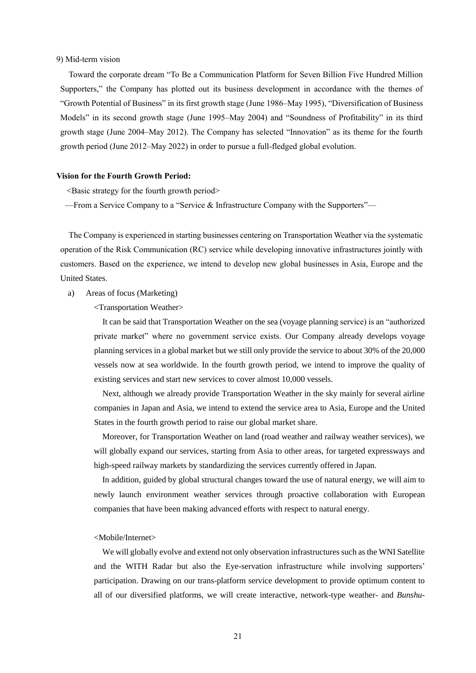## 9) Mid-term vision

Toward the corporate dream "To Be a Communication Platform for Seven Billion Five Hundred Million Supporters," the Company has plotted out its business development in accordance with the themes of "Growth Potential of Business" in its first growth stage (June 1986–May 1995), "Diversification of Business Models" in its second growth stage (June 1995–May 2004) and "Soundness of Profitability" in its third growth stage (June 2004–May 2012). The Company has selected "Innovation" as its theme for the fourth growth period (June 2012–May 2022) in order to pursue a full-fledged global evolution.

## **Vision for the Fourth Growth Period:**

<Basic strategy for the fourth growth period>

—From a Service Company to a "Service & Infrastructure Company with the Supporters"—

The Company is experienced in starting businesses centering on Transportation Weather via the systematic operation of the Risk Communication (RC) service while developing innovative infrastructures jointly with customers. Based on the experience, we intend to develop new global businesses in Asia, Europe and the United States.

a) Areas of focus (Marketing)

<Transportation Weather>

It can be said that Transportation Weather on the sea (voyage planning service) is an "authorized private market" where no government service exists. Our Company already develops voyage planning services in a global market but we still only provide the service to about 30% of the 20,000 vessels now at sea worldwide. In the fourth growth period, we intend to improve the quality of existing services and start new services to cover almost 10,000 vessels.

Next, although we already provide Transportation Weather in the sky mainly for several airline companies in Japan and Asia, we intend to extend the service area to Asia, Europe and the United States in the fourth growth period to raise our global market share.

Moreover, for Transportation Weather on land (road weather and railway weather services), we will globally expand our services, starting from Asia to other areas, for targeted expressways and high-speed railway markets by standardizing the services currently offered in Japan.

In addition, guided by global structural changes toward the use of natural energy, we will aim to newly launch environment weather services through proactive collaboration with European companies that have been making advanced efforts with respect to natural energy.

### <Mobile/Internet>

We will globally evolve and extend not only observation infrastructures such as the WNI Satellite and the WITH Radar but also the Eye-servation infrastructure while involving supporters' participation. Drawing on our trans-platform service development to provide optimum content to all of our diversified platforms, we will create interactive, network-type weather- and *Bunshu*-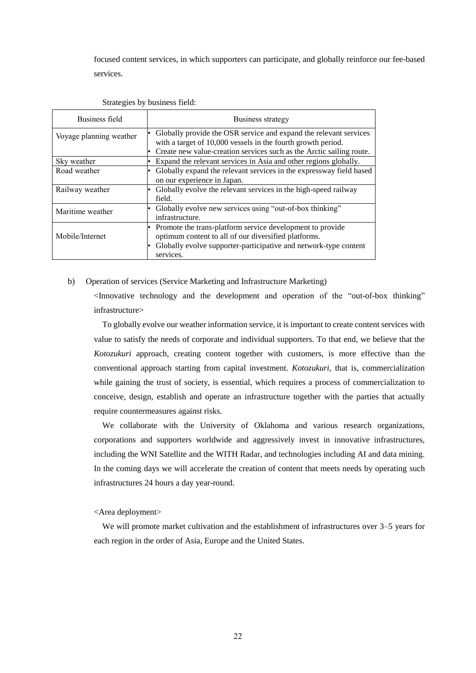focused content services, in which supporters can participate, and globally reinforce our fee-based services.

| Business field          | Business strategy                                                                                                                                                                                         |
|-------------------------|-----------------------------------------------------------------------------------------------------------------------------------------------------------------------------------------------------------|
| Voyage planning weather | Globally provide the OSR service and expand the relevant services<br>with a target of 10,000 vessels in the fourth growth period.<br>Create new value-creation services such as the Arctic sailing route. |
| Sky weather             | Expand the relevant services in Asia and other regions globally.                                                                                                                                          |
| Road weather            | Globally expand the relevant services in the expressway field based<br>on our experience in Japan.                                                                                                        |
| Railway weather         | Globally evolve the relevant services in the high-speed railway<br>field.                                                                                                                                 |
| Maritime weather        | Globally evolve new services using "out-of-box thinking"<br>infrastructure.                                                                                                                               |
| Mobile/Internet         | Promote the trans-platform service development to provide<br>optimum content to all of our diversified platforms.<br>Globally evolve supporter-participative and network-type content<br>services.        |

#### Strategies by business field:

#### b) Operation of services (Service Marketing and Infrastructure Marketing)

<Innovative technology and the development and operation of the "out-of-box thinking" infrastructure>

To globally evolve our weather information service, it is important to create content services with value to satisfy the needs of corporate and individual supporters. To that end, we believe that the *Kotozukuri* approach, creating content together with customers, is more effective than the conventional approach starting from capital investment. *Kotozukuri,* that is, commercialization while gaining the trust of society, is essential, which requires a process of commercialization to conceive, design, establish and operate an infrastructure together with the parties that actually require countermeasures against risks.

We collaborate with the University of Oklahoma and various research organizations, corporations and supporters worldwide and aggressively invest in innovative infrastructures, including the WNI Satellite and the WITH Radar, and technologies including AI and data mining. In the coming days we will accelerate the creation of content that meets needs by operating such infrastructures 24 hours a day year-round.

<Area deployment>

We will promote market cultivation and the establishment of infrastructures over 3–5 years for each region in the order of Asia, Europe and the United States.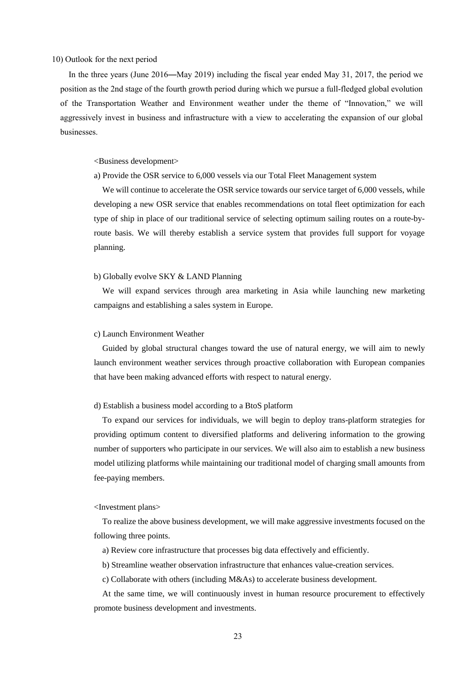## 10) Outlook for the next period

In the three years (June 2016―May 2019) including the fiscal year ended May 31, 2017, the period we position as the 2nd stage of the fourth growth period during which we pursue a full-fledged global evolution of the Transportation Weather and Environment weather under the theme of "Innovation," we will aggressively invest in business and infrastructure with a view to accelerating the expansion of our global businesses.

<Business development>

a) Provide the OSR service to 6,000 vessels via our Total Fleet Management system

We will continue to accelerate the OSR service towards our service target of 6,000 vessels, while developing a new OSR service that enables recommendations on total fleet optimization for each type of ship in place of our traditional service of selecting optimum sailing routes on a route-byroute basis. We will thereby establish a service system that provides full support for voyage planning.

## b) Globally evolve SKY & LAND Planning

We will expand services through area marketing in Asia while launching new marketing campaigns and establishing a sales system in Europe.

#### c) Launch Environment Weather

Guided by global structural changes toward the use of natural energy, we will aim to newly launch environment weather services through proactive collaboration with European companies that have been making advanced efforts with respect to natural energy.

## d) Establish a business model according to a BtoS platform

To expand our services for individuals, we will begin to deploy trans-platform strategies for providing optimum content to diversified platforms and delivering information to the growing number of supporters who participate in our services. We will also aim to establish a new business model utilizing platforms while maintaining our traditional model of charging small amounts from fee-paying members.

## <Investment plans>

To realize the above business development, we will make aggressive investments focused on the following three points.

a) Review core infrastructure that processes big data effectively and efficiently.

b) Streamline weather observation infrastructure that enhances value-creation services.

c) Collaborate with others (including M&As) to accelerate business development.

At the same time, we will continuously invest in human resource procurement to effectively promote business development and investments.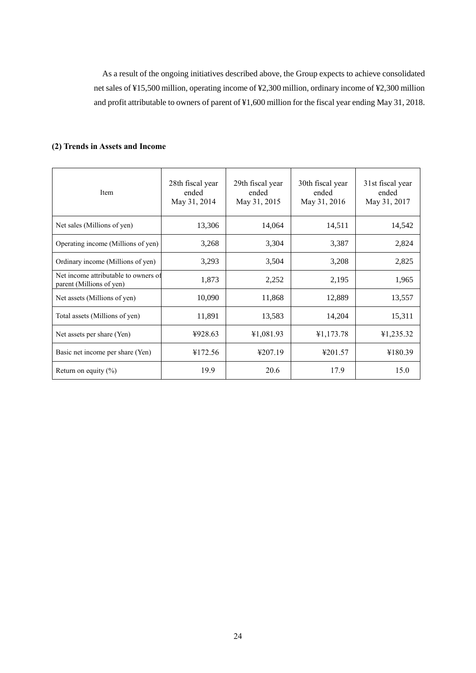As a result of the ongoing initiatives described above, the Group expects to achieve consolidated net sales of ¥15,500 million, operating income of ¥2,300 million, ordinary income of ¥2,300 million and profit attributable to owners of parent of ¥1,600 million for the fiscal year ending May 31, 2018.

# **(2) Trends in Assets and Income**

| Item                                                             | 28th fiscal year<br>ended<br>May 31, 2014 | 29th fiscal year<br>ended<br>May 31, 2015 | 30th fiscal year<br>ended<br>May 31, 2016 | 31st fiscal year<br>ended<br>May 31, 2017 |
|------------------------------------------------------------------|-------------------------------------------|-------------------------------------------|-------------------------------------------|-------------------------------------------|
| Net sales (Millions of yen)                                      | 13,306                                    | 14,064                                    | 14,511                                    | 14,542                                    |
| Operating income (Millions of yen)                               | 3,268                                     | 3,304                                     | 3,387                                     | 2,824                                     |
| Ordinary income (Millions of yen)                                | 3,293                                     | 3,504                                     | 3,208                                     | 2,825                                     |
| Net income attributable to owners of<br>parent (Millions of yen) | 1,873                                     | 2,252                                     | 2,195                                     | 1,965                                     |
| Net assets (Millions of yen)                                     | 10,090                                    | 11,868                                    | 12,889                                    | 13,557                                    |
| Total assets (Millions of yen)                                   | 11,891                                    | 13,583                                    | 14,204                                    | 15,311                                    |
| Net assets per share (Yen)                                       | ¥928.63                                   | ¥1,081.93                                 | ¥1,173.78                                 | ¥1,235.32                                 |
| Basic net income per share (Yen)                                 | ¥172.56                                   | ¥207.19                                   | ¥201.57                                   | ¥180.39                                   |
| Return on equity $(\% )$                                         | 19.9                                      | 20.6                                      | 17.9                                      | 15.0                                      |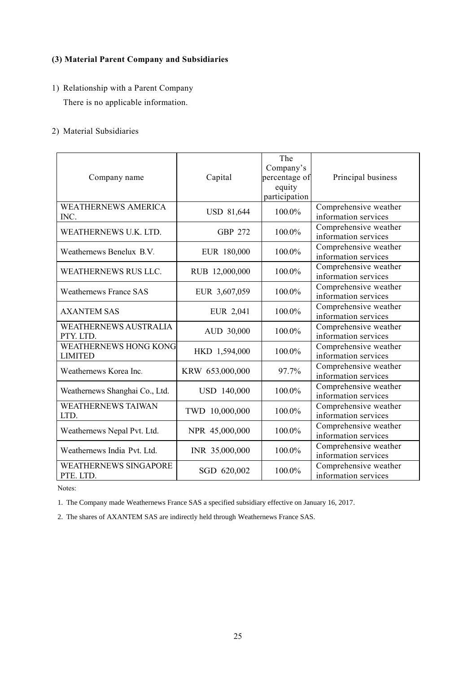# **(3) Material Parent Company and Subsidiaries**

1) Relationship with a Parent Company There is no applicable information.

# 2) Material Subsidiaries

| Company name                                   | Capital           | The<br>Company's<br>percentage of<br>equity<br>participation | Principal business                            |
|------------------------------------------------|-------------------|--------------------------------------------------------------|-----------------------------------------------|
| <b>WEATHERNEWS AMERICA</b><br>INC.             | <b>USD 81,644</b> | 100.0%                                                       | Comprehensive weather<br>information services |
| WEATHERNEWS U.K. LTD.                          | <b>GBP 272</b>    | 100.0%                                                       | Comprehensive weather<br>information services |
| Weathernews Benelux B.V.                       | EUR 180,000       | 100.0%                                                       | Comprehensive weather<br>information services |
| WEATHERNEWS RUS LLC.                           | RUB 12,000,000    | 100.0%                                                       | Comprehensive weather<br>information services |
| <b>Weathernews France SAS</b>                  | EUR 3,607,059     | 100.0%                                                       | Comprehensive weather<br>information services |
| <b>AXANTEM SAS</b>                             | EUR 2,041         | 100.0%                                                       | Comprehensive weather<br>information services |
| <b>WEATHERNEWS AUSTRALIA</b><br>PTY. LTD.      | AUD 30,000        | 100.0%                                                       | Comprehensive weather<br>information services |
| <b>WEATHERNEWS HONG KONG</b><br><b>LIMITED</b> | HKD 1,594,000     | 100.0%                                                       | Comprehensive weather<br>information services |
| Weathernews Korea Inc.                         | KRW 653,000,000   | 97.7%                                                        | Comprehensive weather<br>information services |
| Weathernews Shanghai Co., Ltd.                 | USD 140,000       | 100.0%                                                       | Comprehensive weather<br>information services |
| <b>WEATHERNEWS TAIWAN</b><br>LTD.              | TWD 10,000,000    | 100.0%                                                       | Comprehensive weather<br>information services |
| Weathernews Nepal Pvt. Ltd.                    | NPR 45,000,000    | 100.0%                                                       | Comprehensive weather<br>information services |
| Weathernews India Pvt. Ltd.                    | INR 35,000,000    | 100.0%                                                       | Comprehensive weather<br>information services |
| <b>WEATHERNEWS SINGAPORE</b><br>PTE. LTD.      | SGD 620,002       | 100.0%                                                       | Comprehensive weather<br>information services |

Notes:

1. The Company made Weathernews France SAS a specified subsidiary effective on January 16, 2017.

2. The shares of AXANTEM SAS are indirectly held through Weathernews France SAS.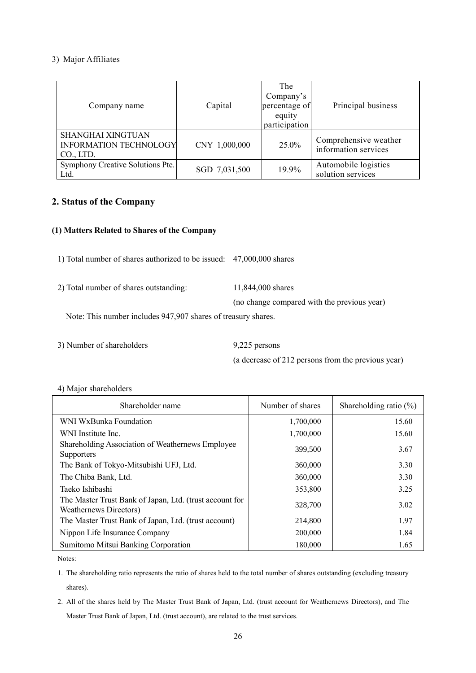## 3) Major Affiliates

| Company name                                                    | Capital       | The<br>Company's<br>percentage of<br>equity<br>participation | Principal business                            |
|-----------------------------------------------------------------|---------------|--------------------------------------------------------------|-----------------------------------------------|
| SHANGHAI XINGTUAN<br><b>INFORMATION TECHNOLOGY</b><br>CO., LTD. | CNY 1,000,000 | 25.0%                                                        | Comprehensive weather<br>information services |
| Symphony Creative Solutions Pte.<br>Ltd.                        | SGD 7,031,500 | 19.9%                                                        | Automobile logistics<br>solution services     |

# **2. Status of the Company**

# **(1) Matters Related to Shares of the Company**

1) Total number of shares authorized to be issued: 47,000,000 shares

2) Total number of shares outstanding: 11,844,000 shares

(no change compared with the previous year)

Note: This number includes 947,907 shares of treasury shares.

3) Number of shareholders 9,225 persons

(a decrease of 212 persons from the previous year)

# 4) Major shareholders

| Shareholder name                                                                  | Number of shares | Shareholding ratio $(\%)$ |
|-----------------------------------------------------------------------------------|------------------|---------------------------|
| WNI WxBunka Foundation                                                            | 1,700,000        | 15.60                     |
| WNI Institute Inc.                                                                | 1,700,000        | 15.60                     |
| Shareholding Association of Weathernews Employee<br><b>Supporters</b>             | 399,500          | 3.67                      |
| The Bank of Tokyo-Mitsubishi UFJ, Ltd.                                            | 360,000          | 3.30                      |
| The Chiba Bank, Ltd.                                                              | 360,000          | 3.30                      |
| Taeko Ishibashi                                                                   | 353,800          | 3.25                      |
| The Master Trust Bank of Japan, Ltd. (trust account for<br>Weathernews Directors) | 328,700          | 3.02                      |
| The Master Trust Bank of Japan, Ltd. (trust account)                              | 214,800          | 1.97                      |
| Nippon Life Insurance Company                                                     | 200,000          | 1.84                      |
| Sumitomo Mitsui Banking Corporation                                               | 180,000          | 1.65                      |

Notes:

1. The shareholding ratio represents the ratio of shares held to the total number of shares outstanding (excluding treasury shares).

2. All of the shares held by The Master Trust Bank of Japan, Ltd. (trust account for Weathernews Directors), and The Master Trust Bank of Japan, Ltd. (trust account), are related to the trust services.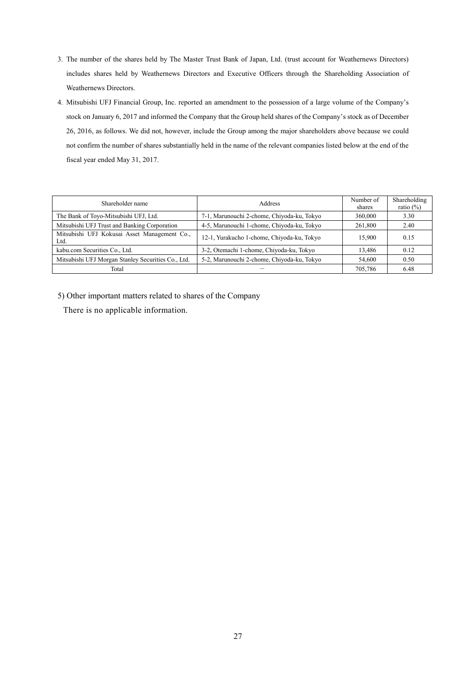- 3. The number of the shares held by The Master Trust Bank of Japan, Ltd. (trust account for Weathernews Directors) includes shares held by Weathernews Directors and Executive Officers through the Shareholding Association of Weathernews Directors.
- 4. Mitsubishi UFJ Financial Group, Inc. reported an amendment to the possession of a large volume of the Company's stock on January 6, 2017 and informed the Company that the Group held shares of the Company's stock as of December 26, 2016, as follows. We did not, however, include the Group among the major shareholders above because we could not confirm the number of shares substantially held in the name of the relevant companies listed below at the end of the fiscal year ended May 31, 2017.

| Shareholder name                                     | Address                                    | Number of<br>shares | Shareholding<br>ratio $(\%)$ |
|------------------------------------------------------|--------------------------------------------|---------------------|------------------------------|
| The Bank of Toyo-Mitsubishi UFJ, Ltd.                | 7-1, Marunouchi 2-chome, Chiyoda-ku, Tokyo | 360,000             | 3.30                         |
| Mitsubishi UFJ Trust and Banking Corporation         | 4-5, Marunouchi 1-chome, Chiyoda-ku, Tokyo | 261,800             | 2.40                         |
| Mitsubishi UFJ Kokusai Asset Management Co.,<br>Ltd. | 12-1, Yurakucho 1-chome, Chiyoda-ku, Tokyo | 15.900              | 0.15                         |
| kabu.com Securities Co., Ltd.                        | 3-2, Otemachi 1-chome, Chiyoda-ku, Tokyo   | 13.486              | 0.12                         |
| Mitsubishi UFJ Morgan Stanley Securities Co., Ltd.   | 5-2, Marunouchi 2-chome, Chiyoda-ku, Tokyo | 54,600              | 0.50                         |
| Total                                                |                                            | 705.786             | 6.48                         |

5) Other important matters related to shares of the Company

There is no applicable information.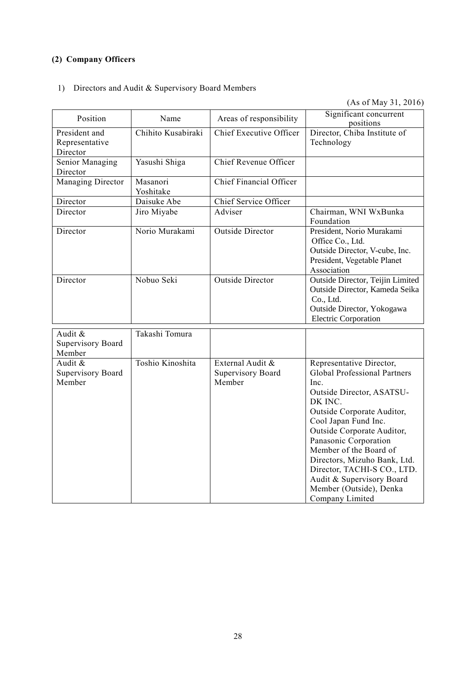# **(2) Company Officers**

# 1) Directors and Audit & Supervisory Board Members

(As of May 31, 2016)

| Position                                      | Name                  | Areas of responsibility                         | Significant concurrent<br>positions                                                                                                                                                                                                                                                                                                                                                              |
|-----------------------------------------------|-----------------------|-------------------------------------------------|--------------------------------------------------------------------------------------------------------------------------------------------------------------------------------------------------------------------------------------------------------------------------------------------------------------------------------------------------------------------------------------------------|
| President and<br>Representative<br>Director   | Chihito Kusabiraki    | <b>Chief Executive Officer</b>                  | Director, Chiba Institute of<br>Technology                                                                                                                                                                                                                                                                                                                                                       |
| Senior Managing<br>Director                   | Yasushi Shiga         | Chief Revenue Officer                           |                                                                                                                                                                                                                                                                                                                                                                                                  |
| Managing Director                             | Masanori<br>Yoshitake | Chief Financial Officer                         |                                                                                                                                                                                                                                                                                                                                                                                                  |
| Director                                      | Daisuke Abe           | Chief Service Officer                           |                                                                                                                                                                                                                                                                                                                                                                                                  |
| Director                                      | Jiro Miyabe           | Adviser                                         | Chairman, WNI WxBunka<br>Foundation                                                                                                                                                                                                                                                                                                                                                              |
| Director                                      | Norio Murakami        | <b>Outside Director</b>                         | President, Norio Murakami<br>Office Co., Ltd.<br>Outside Director, V-cube, Inc.<br>President, Vegetable Planet<br>Association                                                                                                                                                                                                                                                                    |
| Director                                      | Nobuo Seki            | <b>Outside Director</b>                         | Outside Director, Teijin Limited<br>Outside Director, Kameda Seika<br>Co., Ltd.<br>Outside Director, Yokogawa<br><b>Electric Corporation</b>                                                                                                                                                                                                                                                     |
| Audit &<br>Supervisory Board<br>Member        | Takashi Tomura        |                                                 |                                                                                                                                                                                                                                                                                                                                                                                                  |
| Audit &<br><b>Supervisory Board</b><br>Member | Toshio Kinoshita      | External Audit &<br>Supervisory Board<br>Member | Representative Director,<br><b>Global Professional Partners</b><br>Inc.<br>Outside Director, ASATSU-<br>DK INC.<br>Outside Corporate Auditor,<br>Cool Japan Fund Inc.<br>Outside Corporate Auditor,<br>Panasonic Corporation<br>Member of the Board of<br>Directors, Mizuho Bank, Ltd.<br>Director, TACHI-S CO., LTD.<br>Audit & Supervisory Board<br>Member (Outside), Denka<br>Company Limited |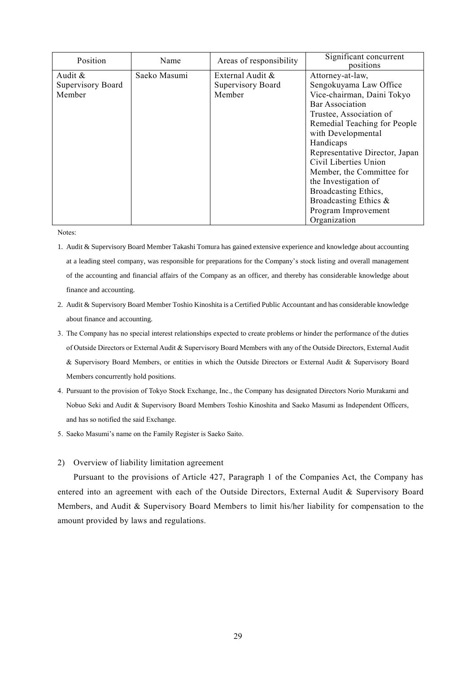| Position          | Name         | Areas of responsibility | Significant concurrent<br>positions |
|-------------------|--------------|-------------------------|-------------------------------------|
| Audit $\&$        | Saeko Masumi | External Audit &        | Attorney-at-law,                    |
| Supervisory Board |              | Supervisory Board       | Sengokuyama Law Office              |
| Member            |              | Member                  | Vice-chairman, Daini Tokyo          |
|                   |              |                         | <b>Bar Association</b>              |
|                   |              |                         | Trustee, Association of             |
|                   |              |                         | Remedial Teaching for People        |
|                   |              |                         | with Developmental                  |
|                   |              |                         | Handicaps                           |
|                   |              |                         | Representative Director, Japan      |
|                   |              |                         | Civil Liberties Union               |
|                   |              |                         | Member, the Committee for           |
|                   |              |                         | the Investigation of                |
|                   |              |                         | Broadcasting Ethics,                |
|                   |              |                         | Broadcasting Ethics &               |
|                   |              |                         | Program Improvement                 |
|                   |              |                         | Organization                        |

Notes:

- 1. Audit & Supervisory Board Member Takashi Tomura has gained extensive experience and knowledge about accounting at a leading steel company, was responsible for preparations for the Company's stock listing and overall management of the accounting and financial affairs of the Company as an officer, and thereby has considerable knowledge about finance and accounting.
- 2. Audit & Supervisory Board Member Toshio Kinoshita is a Certified Public Accountant and has considerable knowledge about finance and accounting.
- 3. The Company has no special interest relationships expected to create problems or hinder the performance of the duties of Outside Directors or External Audit & Supervisory Board Members with any of the Outside Directors, External Audit & Supervisory Board Members, or entities in which the Outside Directors or External Audit & Supervisory Board Members concurrently hold positions.
- 4. Pursuant to the provision of Tokyo Stock Exchange, Inc., the Company has designated Directors Norio Murakami and Nobuo Seki and Audit & Supervisory Board Members Toshio Kinoshita and Saeko Masumi as Independent Officers, and has so notified the said Exchange.
- 5. Saeko Masumi's name on the Family Register is Saeko Saito.

## 2) Overview of liability limitation agreement

Pursuant to the provisions of Article 427, Paragraph 1 of the Companies Act, the Company has entered into an agreement with each of the Outside Directors, External Audit & Supervisory Board Members, and Audit & Supervisory Board Members to limit his/her liability for compensation to the amount provided by laws and regulations.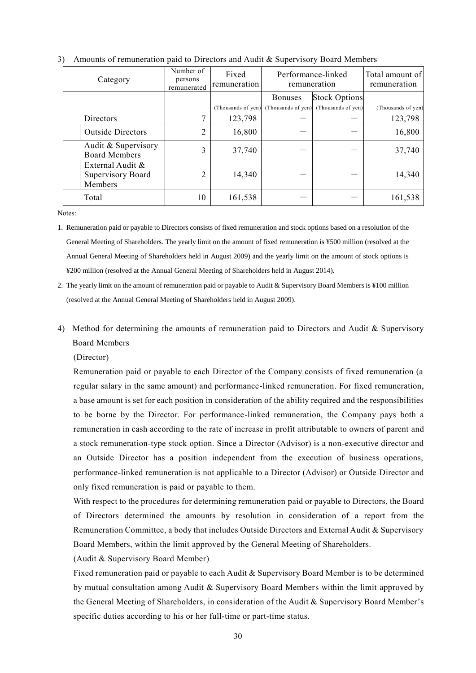| Category                                         | Number of<br>persons<br>remunerated | Fixed<br>remuneration |                                       | Performance-linked<br>remuneration | Total amount of<br>remuneration |
|--------------------------------------------------|-------------------------------------|-----------------------|---------------------------------------|------------------------------------|---------------------------------|
|                                                  |                                     |                       | <b>Bonuses</b>                        | <b>Stock Options</b>               |                                 |
|                                                  |                                     |                       | (Thousands of yen) (Thousands of yen) | (Thousands of yen)                 | (Thousands of yen)              |
| Directors                                        |                                     | 123,798               |                                       |                                    | 123,798                         |
| <b>Outside Directors</b>                         | 2                                   | 16,800                |                                       |                                    | 16,800                          |
| Audit & Supervisory<br><b>Board Members</b>      | 3                                   | 37,740                |                                       |                                    | 37,740                          |
| External Audit &<br>Supervisory Board<br>Members | 2                                   | 14,340                |                                       |                                    | 14,340                          |
| Total                                            | 10                                  | 161,538               |                                       |                                    | 161,538                         |



Notes:

1. Remuneration paid or payable to Directors consists of fixed remuneration and stock options based on a resolution of the General Meeting of Shareholders. The yearly limit on the amount of fixed remuneration is ¥500 million (resolved at the Annual General Meeting of Shareholders held in August 2009) and the yearly limit on the amount of stock options is ¥200 million (resolved at the Annual General Meeting of Shareholders held in August 2014).

4) Method for determining the amounts of remuneration paid to Directors and Audit & Supervisory Board Members

(Director)

Remuneration paid or payable to each Director of the Company consists of fixed remuneration (a regular salary in the same amount) and performance-linked remuneration. For fixed remuneration, a base amount is set for each position in consideration of the ability required and the responsibilities to be borne by the Director. For performance-linked remuneration, the Company pays both a remuneration in cash according to the rate of increase in profit attributable to owners of parent and a stock remuneration-type stock option. Since a Director (Advisor) is a non-executive director and an Outside Director has a position independent from the execution of business operations, performance-linked remuneration is not applicable to a Director (Advisor) or Outside Director and only fixed remuneration is paid or payable to them.

With respect to the procedures for determining remuneration paid or payable to Directors, the Board of Directors determined the amounts by resolution in consideration of a report from the Remuneration Committee, a body that includes Outside Directors and External Audit & Supervisory Board Members, within the limit approved by the General Meeting of Shareholders.

(Audit & Supervisory Board Member)

Fixed remuneration paid or payable to each Audit & Supervisory Board Member is to be determined by mutual consultation among Audit & Supervisory Board Members within the limit approved by the General Meeting of Shareholders, in consideration of the Audit & Supervisory Board Member's specific duties according to his or her full-time or part-time status.

<sup>2.</sup> The yearly limit on the amount of remuneration paid or payable to Audit & Supervisory Board Members is ¥100 million (resolved at the Annual General Meeting of Shareholders held in August 2009).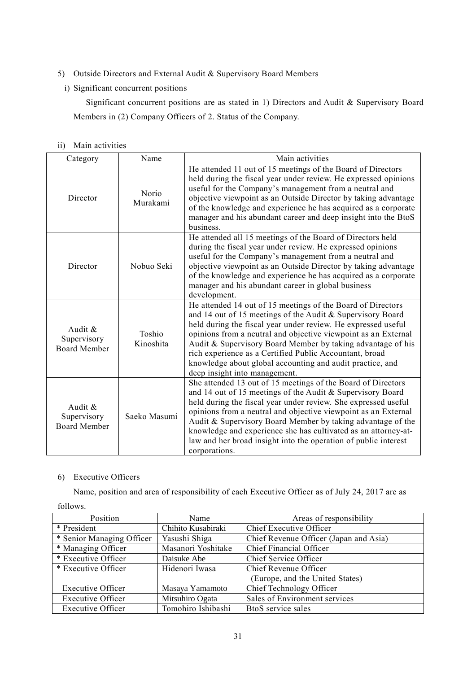- 5) Outside Directors and External Audit & Supervisory Board Members
	- i) Significant concurrent positions

Significant concurrent positions are as stated in 1) Directors and Audit & Supervisory Board Members in (2) Company Officers of 2. Status of the Company.

| $\overline{11}$ |  | Main activities |
|-----------------|--|-----------------|
|-----------------|--|-----------------|

| Category                                      | Name                | Main activities                                                                                                                                                                                                                                                                                                                                                                                                                                                                      |
|-----------------------------------------------|---------------------|--------------------------------------------------------------------------------------------------------------------------------------------------------------------------------------------------------------------------------------------------------------------------------------------------------------------------------------------------------------------------------------------------------------------------------------------------------------------------------------|
| Director                                      | Norio<br>Murakami   | He attended 11 out of 15 meetings of the Board of Directors<br>held during the fiscal year under review. He expressed opinions<br>useful for the Company's management from a neutral and<br>objective viewpoint as an Outside Director by taking advantage<br>of the knowledge and experience he has acquired as a corporate<br>manager and his abundant career and deep insight into the BtoS<br>business.                                                                          |
| Director                                      | Nobuo Seki          | He attended all 15 meetings of the Board of Directors held<br>during the fiscal year under review. He expressed opinions<br>useful for the Company's management from a neutral and<br>objective viewpoint as an Outside Director by taking advantage<br>of the knowledge and experience he has acquired as a corporate<br>manager and his abundant career in global business<br>development.                                                                                         |
| Audit &<br>Supervisory<br><b>Board Member</b> | Toshio<br>Kinoshita | He attended 14 out of 15 meetings of the Board of Directors<br>and 14 out of 15 meetings of the Audit & Supervisory Board<br>held during the fiscal year under review. He expressed useful<br>opinions from a neutral and objective viewpoint as an External<br>Audit & Supervisory Board Member by taking advantage of his<br>rich experience as a Certified Public Accountant, broad<br>knowledge about global accounting and audit practice, and<br>deep insight into management. |
| Audit &<br>Supervisory<br><b>Board Member</b> | Saeko Masumi        | She attended 13 out of 15 meetings of the Board of Directors<br>and 14 out of 15 meetings of the Audit & Supervisory Board<br>held during the fiscal year under review. She expressed useful<br>opinions from a neutral and objective viewpoint as an External<br>Audit & Supervisory Board Member by taking advantage of the<br>knowledge and experience she has cultivated as an attorney-at-<br>law and her broad insight into the operation of public interest<br>corporations.  |

# 6) Executive Officers

Name, position and area of responsibility of each Executive Officer as of July 24, 2017 are as

follows.

| Position                  | Name               | Areas of responsibility                |
|---------------------------|--------------------|----------------------------------------|
| * President               | Chihito Kusabiraki | Chief Executive Officer                |
| * Senior Managing Officer | Yasushi Shiga      | Chief Revenue Officer (Japan and Asia) |
| * Managing Officer        | Masanori Yoshitake | Chief Financial Officer                |
| * Executive Officer       | Daisuke Abe        | Chief Service Officer                  |
| * Executive Officer       | Hidenori Iwasa     | Chief Revenue Officer                  |
|                           |                    | (Europe, and the United States)        |
| <b>Executive Officer</b>  | Masaya Yamamoto    | Chief Technology Officer               |
| <b>Executive Officer</b>  | Mitsuhiro Ogata    | Sales of Environment services          |
| <b>Executive Officer</b>  | Tomohiro Ishibashi | BtoS service sales                     |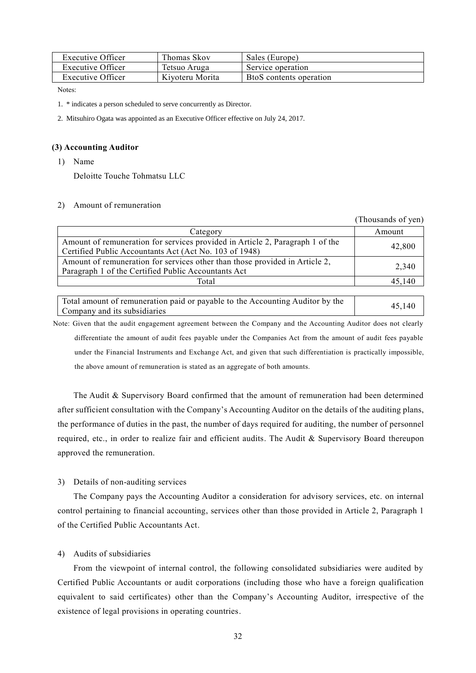| Executive Officer | Thomas Skov     | Sales (Europe)          |
|-------------------|-----------------|-------------------------|
| Executive Officer | Tetsuo Aruga    | Service operation       |
| Executive Officer | Kiyoteru Morita | BtoS contents operation |

Notes:

1. \* indicates a person scheduled to serve concurrently as Director.

2. Mitsuhiro Ogata was appointed as an Executive Officer effective on July 24, 2017.

## **(3) Accounting Auditor**

1) Name

Deloitte Touche Tohmatsu LLC

## 2) Amount of remuneration

|                                                                               | (Thousands of yen) |
|-------------------------------------------------------------------------------|--------------------|
| Category                                                                      | Amount             |
| Amount of remuneration for services provided in Article 2, Paragraph 1 of the | 42,800             |
| Certified Public Accountants Act (Act No. 103 of 1948)                        |                    |
| Amount of remuneration for services other than those provided in Article 2,   | 2,340              |
| Paragraph 1 of the Certified Public Accountants Act                           |                    |
| Total                                                                         | 45.140             |

| Total amount of remuneration paid or payable to the Accounting Auditor by the | 45.140 |
|-------------------------------------------------------------------------------|--------|
| Company and its subsidiaries                                                  |        |

Note: Given that the audit engagement agreement between the Company and the Accounting Auditor does not clearly differentiate the amount of audit fees payable under the Companies Act from the amount of audit fees payable under the Financial Instruments and Exchange Act, and given that such differentiation is practically impossible, the above amount of remuneration is stated as an aggregate of both amounts.

The Audit & Supervisory Board confirmed that the amount of remuneration had been determined after sufficient consultation with the Company's Accounting Auditor on the details of the auditing plans, the performance of duties in the past, the number of days required for auditing, the number of personnel required, etc., in order to realize fair and efficient audits. The Audit & Supervisory Board thereupon approved the remuneration.

## 3) Details of non-auditing services

The Company pays the Accounting Auditor a consideration for advisory services, etc. on internal control pertaining to financial accounting, services other than those provided in Article 2, Paragraph 1 of the Certified Public Accountants Act.

## 4) Audits of subsidiaries

From the viewpoint of internal control, the following consolidated subsidiaries were audited by Certified Public Accountants or audit corporations (including those who have a foreign qualification equivalent to said certificates) other than the Company's Accounting Auditor, irrespective of the existence of legal provisions in operating countries.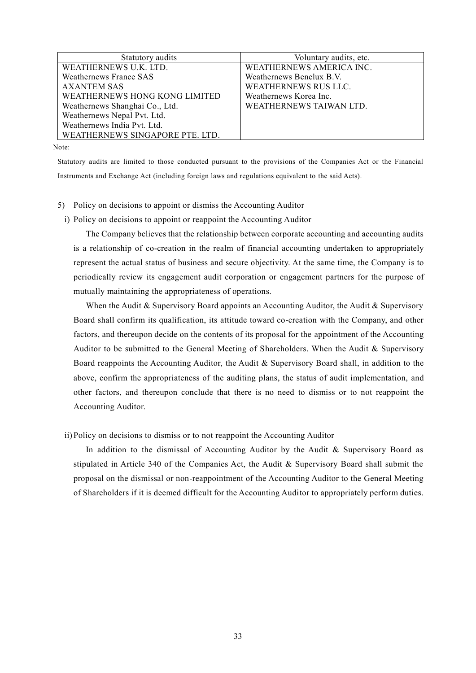| Statutory audits                | Voluntary audits, etc.   |
|---------------------------------|--------------------------|
| WEATHERNEWS U.K. LTD.           | WEATHERNEWS AMERICA INC. |
| Weathernews France SAS          | Weathernews Benelux B.V. |
| <b>AXANTEM SAS</b>              | WEATHERNEWS RUS LLC.     |
| WEATHERNEWS HONG KONG LIMITED   | Weathernews Korea Inc.   |
| Weathernews Shanghai Co., Ltd.  | WEATHERNEWS TAIWAN LTD.  |
| Weathernews Nepal Pvt. Ltd.     |                          |
| Weathernews India Pvt. Ltd.     |                          |
| WEATHERNEWS SINGAPORE PTE. LTD. |                          |

Note:

Statutory audits are limited to those conducted pursuant to the provisions of the Companies Act or the Financial Instruments and Exchange Act (including foreign laws and regulations equivalent to the said Acts).

- 5) Policy on decisions to appoint or dismiss the Accounting Auditor
	- i) Policy on decisions to appoint or reappoint the Accounting Auditor

The Company believes that the relationship between corporate accounting and accounting audits is a relationship of co-creation in the realm of financial accounting undertaken to appropriately represent the actual status of business and secure objectivity. At the same time, the Company is to periodically review its engagement audit corporation or engagement partners for the purpose of mutually maintaining the appropriateness of operations.

When the Audit  $\&$  Supervisory Board appoints an Accounting Auditor, the Audit  $\&$  Supervisory Board shall confirm its qualification, its attitude toward co-creation with the Company, and other factors, and thereupon decide on the contents of its proposal for the appointment of the Accounting Auditor to be submitted to the General Meeting of Shareholders. When the Audit & Supervisory Board reappoints the Accounting Auditor, the Audit & Supervisory Board shall, in addition to the above, confirm the appropriateness of the auditing plans, the status of audit implementation, and other factors, and thereupon conclude that there is no need to dismiss or to not reappoint the Accounting Auditor.

ii) Policy on decisions to dismiss or to not reappoint the Accounting Auditor

In addition to the dismissal of Accounting Auditor by the Audit & Supervisory Board as stipulated in Article 340 of the Companies Act, the Audit & Supervisory Board shall submit the proposal on the dismissal or non-reappointment of the Accounting Auditor to the General Meeting of Shareholders if it is deemed difficult for the Accounting Auditor to appropriately perform duties.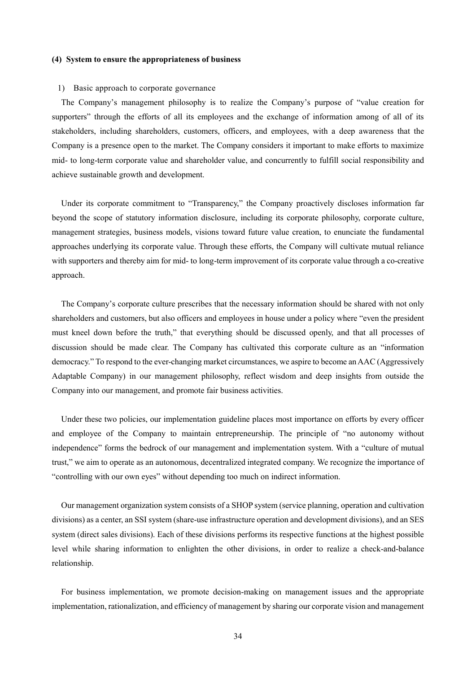## **(4) System to ensure the appropriateness of business**

### 1) Basic approach to corporate governance

The Company's management philosophy is to realize the Company's purpose of "value creation for supporters" through the efforts of all its employees and the exchange of information among of all of its stakeholders, including shareholders, customers, officers, and employees, with a deep awareness that the Company is a presence open to the market. The Company considers it important to make efforts to maximize mid- to long-term corporate value and shareholder value, and concurrently to fulfill social responsibility and achieve sustainable growth and development.

Under its corporate commitment to "Transparency," the Company proactively discloses information far beyond the scope of statutory information disclosure, including its corporate philosophy, corporate culture, management strategies, business models, visions toward future value creation, to enunciate the fundamental approaches underlying its corporate value. Through these efforts, the Company will cultivate mutual reliance with supporters and thereby aim for mid- to long-term improvement of its corporate value through a co-creative approach.

The Company's corporate culture prescribes that the necessary information should be shared with not only shareholders and customers, but also officers and employees in house under a policy where "even the president must kneel down before the truth," that everything should be discussed openly, and that all processes of discussion should be made clear. The Company has cultivated this corporate culture as an "information democracy." To respond to the ever-changing market circumstances, we aspire to become an AAC (Aggressively Adaptable Company) in our management philosophy, reflect wisdom and deep insights from outside the Company into our management, and promote fair business activities.

Under these two policies, our implementation guideline places most importance on efforts by every officer and employee of the Company to maintain entrepreneurship. The principle of "no autonomy without independence" forms the bedrock of our management and implementation system. With a "culture of mutual trust," we aim to operate as an autonomous, decentralized integrated company. We recognize the importance of "controlling with our own eyes" without depending too much on indirect information.

Our management organization system consists of a SHOP system (service planning, operation and cultivation divisions) as a center, an SSI system (share-use infrastructure operation and development divisions), and an SES system (direct sales divisions). Each of these divisions performs its respective functions at the highest possible level while sharing information to enlighten the other divisions, in order to realize a check-and-balance relationship.

For business implementation, we promote decision-making on management issues and the appropriate implementation, rationalization, and efficiency of management by sharing our corporate vision and management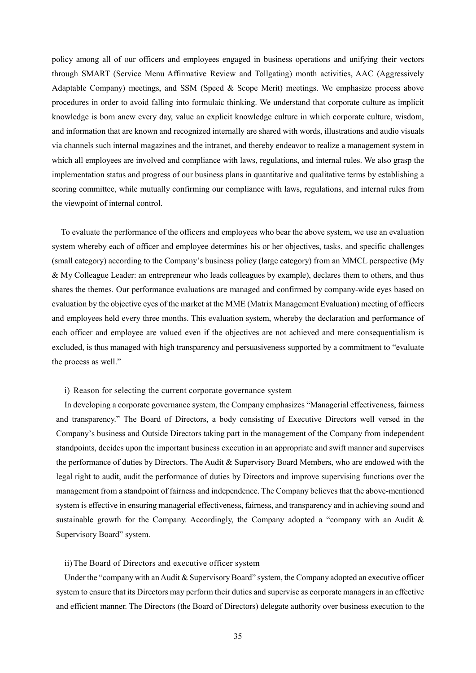policy among all of our officers and employees engaged in business operations and unifying their vectors through SMART (Service Menu Affirmative Review and Tollgating) month activities, AAC (Aggressively Adaptable Company) meetings, and SSM (Speed  $\&$  Scope Merit) meetings. We emphasize process above procedures in order to avoid falling into formulaic thinking. We understand that corporate culture as implicit knowledge is born anew every day, value an explicit knowledge culture in which corporate culture, wisdom, and information that are known and recognized internally are shared with words, illustrations and audio visuals via channels such internal magazines and the intranet, and thereby endeavor to realize a management system in which all employees are involved and compliance with laws, regulations, and internal rules. We also grasp the implementation status and progress of our business plans in quantitative and qualitative terms by establishing a scoring committee, while mutually confirming our compliance with laws, regulations, and internal rules from the viewpoint of internal control.

To evaluate the performance of the officers and employees who bear the above system, we use an evaluation system whereby each of officer and employee determines his or her objectives, tasks, and specific challenges (small category) according to the Company's business policy (large category) from an MMCL perspective (My & My Colleague Leader: an entrepreneur who leads colleagues by example), declares them to others, and thus shares the themes. Our performance evaluations are managed and confirmed by company-wide eyes based on evaluation by the objective eyes of the market at the MME (Matrix Management Evaluation) meeting of officers and employees held every three months. This evaluation system, whereby the declaration and performance of each officer and employee are valued even if the objectives are not achieved and mere consequentialism is excluded, is thus managed with high transparency and persuasiveness supported by a commitment to "evaluate the process as well."

## i) Reason for selecting the current corporate governance system

In developing a corporate governance system, the Company emphasizes "Managerial effectiveness, fairness and transparency." The Board of Directors, a body consisting of Executive Directors well versed in the Company's business and Outside Directors taking part in the management of the Company from independent standpoints, decides upon the important business execution in an appropriate and swift manner and supervises the performance of duties by Directors. The Audit & Supervisory Board Members, who are endowed with the legal right to audit, audit the performance of duties by Directors and improve supervising functions over the management from a standpoint of fairness and independence. The Company believes that the above-mentioned system is effective in ensuring managerial effectiveness, fairness, and transparency and in achieving sound and sustainable growth for the Company. Accordingly, the Company adopted a "company with an Audit & Supervisory Board" system.

## ii)The Board of Directors and executive officer system

Under the "company with an Audit & Supervisory Board" system, the Company adopted an executive officer system to ensure that its Directors may perform their duties and supervise as corporate managers in an effective and efficient manner. The Directors (the Board of Directors) delegate authority over business execution to the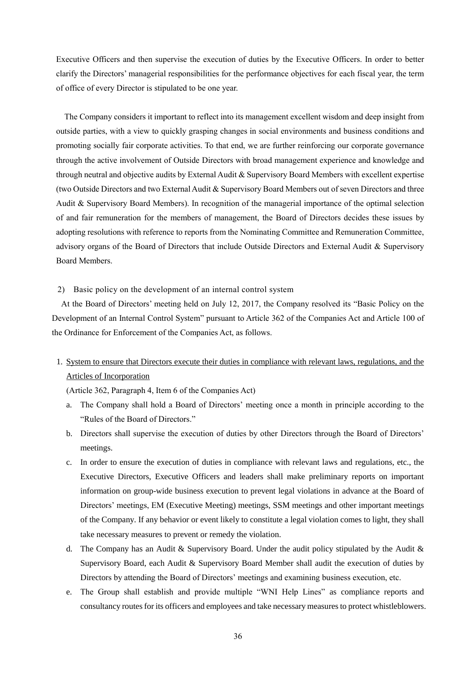Executive Officers and then supervise the execution of duties by the Executive Officers. In order to better clarify the Directors' managerial responsibilities for the performance objectives for each fiscal year, the term of office of every Director is stipulated to be one year.

The Company considers it important to reflect into its management excellent wisdom and deep insight from outside parties, with a view to quickly grasping changes in social environments and business conditions and promoting socially fair corporate activities. To that end, we are further reinforcing our corporate governance through the active involvement of Outside Directors with broad management experience and knowledge and through neutral and objective audits by External Audit & Supervisory Board Members with excellent expertise (two Outside Directors and two External Audit & Supervisory Board Members out of seven Directors and three Audit & Supervisory Board Members). In recognition of the managerial importance of the optimal selection of and fair remuneration for the members of management, the Board of Directors decides these issues by adopting resolutions with reference to reports from the Nominating Committee and Remuneration Committee, advisory organs of the Board of Directors that include Outside Directors and External Audit & Supervisory Board Members.

## 2) Basic policy on the development of an internal control system

At the Board of Directors' meeting held on July 12, 2017, the Company resolved its "Basic Policy on the Development of an Internal Control System" pursuant to Article 362 of the Companies Act and Article 100 of the Ordinance for Enforcement of the Companies Act, as follows.

1. System to ensure that Directors execute their duties in compliance with relevant laws, regulations, and the Articles of Incorporation

(Article 362, Paragraph 4, Item 6 of the Companies Act)

- a. The Company shall hold a Board of Directors' meeting once a month in principle according to the "Rules of the Board of Directors."
- b. Directors shall supervise the execution of duties by other Directors through the Board of Directors' meetings.
- c. In order to ensure the execution of duties in compliance with relevant laws and regulations, etc., the Executive Directors, Executive Officers and leaders shall make preliminary reports on important information on group-wide business execution to prevent legal violations in advance at the Board of Directors' meetings, EM (Executive Meeting) meetings, SSM meetings and other important meetings of the Company. If any behavior or event likely to constitute a legal violation comes to light, they shall take necessary measures to prevent or remedy the violation.
- d. The Company has an Audit & Supervisory Board. Under the audit policy stipulated by the Audit & Supervisory Board, each Audit & Supervisory Board Member shall audit the execution of duties by Directors by attending the Board of Directors' meetings and examining business execution, etc.
- e. The Group shall establish and provide multiple "WNI Help Lines" as compliance reports and consultancy routes for its officers and employees and take necessary measures to protect whistleblowers.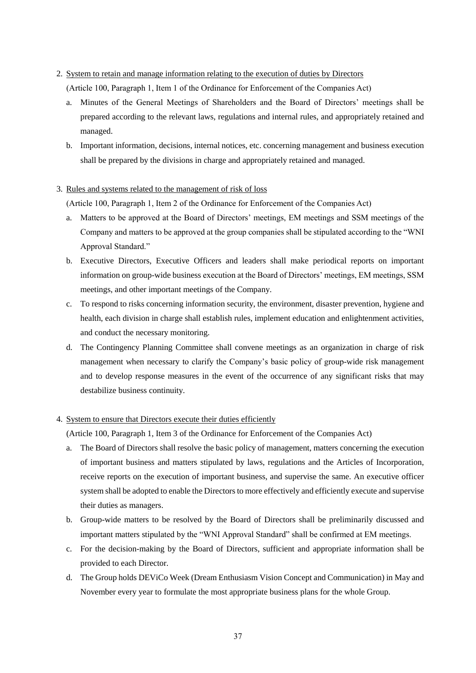## 2. System to retain and manage information relating to the execution of duties by Directors

(Article 100, Paragraph 1, Item 1 of the Ordinance for Enforcement of the Companies Act)

- a. Minutes of the General Meetings of Shareholders and the Board of Directors' meetings shall be prepared according to the relevant laws, regulations and internal rules, and appropriately retained and managed.
- b. Important information, decisions, internal notices, etc. concerning management and business execution shall be prepared by the divisions in charge and appropriately retained and managed.

## 3. Rules and systems related to the management of risk of loss

(Article 100, Paragraph 1, Item 2 of the Ordinance for Enforcement of the Companies Act)

- a. Matters to be approved at the Board of Directors' meetings, EM meetings and SSM meetings of the Company and matters to be approved at the group companies shall be stipulated according to the "WNI Approval Standard."
- b. Executive Directors, Executive Officers and leaders shall make periodical reports on important information on group-wide business execution at the Board of Directors' meetings, EM meetings, SSM meetings, and other important meetings of the Company.
- c. To respond to risks concerning information security, the environment, disaster prevention, hygiene and health, each division in charge shall establish rules, implement education and enlightenment activities, and conduct the necessary monitoring.
- d. The Contingency Planning Committee shall convene meetings as an organization in charge of risk management when necessary to clarify the Company's basic policy of group-wide risk management and to develop response measures in the event of the occurrence of any significant risks that may destabilize business continuity.

## 4. System to ensure that Directors execute their duties efficiently

(Article 100, Paragraph 1, Item 3 of the Ordinance for Enforcement of the Companies Act)

- a. The Board of Directors shall resolve the basic policy of management, matters concerning the execution of important business and matters stipulated by laws, regulations and the Articles of Incorporation, receive reports on the execution of important business, and supervise the same. An executive officer system shall be adopted to enable the Directors to more effectively and efficiently execute and supervise their duties as managers.
- b. Group-wide matters to be resolved by the Board of Directors shall be preliminarily discussed and important matters stipulated by the "WNI Approval Standard" shall be confirmed at EM meetings.
- c. For the decision-making by the Board of Directors, sufficient and appropriate information shall be provided to each Director.
- d. The Group holds DEViCo Week (Dream Enthusiasm Vision Concept and Communication) in May and November every year to formulate the most appropriate business plans for the whole Group.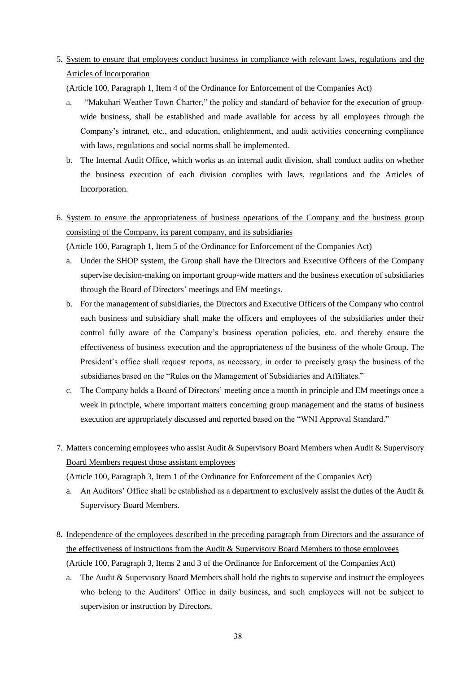# 5. System to ensure that employees conduct business in compliance with relevant laws, regulations and the Articles of Incorporation

(Article 100, Paragraph 1, Item 4 of the Ordinance for Enforcement of the Companies Act)

- a. "Makuhari Weather Town Charter," the policy and standard of behavior for the execution of groupwide business, shall be established and made available for access by all employees through the Company's intranet, etc., and education, enlightenment, and audit activities concerning compliance with laws, regulations and social norms shall be implemented.
- b. The Internal Audit Office, which works as an internal audit division, shall conduct audits on whether the business execution of each division complies with laws, regulations and the Articles of Incorporation.
- 6. System to ensure the appropriateness of business operations of the Company and the business group consisting of the Company, its parent company, and its subsidiaries

(Article 100, Paragraph 1, Item 5 of the Ordinance for Enforcement of the Companies Act)

- a. Under the SHOP system, the Group shall have the Directors and Executive Officers of the Company supervise decision-making on important group-wide matters and the business execution of subsidiaries through the Board of Directors' meetings and EM meetings.
- b. For the management of subsidiaries, the Directors and Executive Officers of the Company who control each business and subsidiary shall make the officers and employees of the subsidiaries under their control fully aware of the Company's business operation policies, etc. and thereby ensure the effectiveness of business execution and the appropriateness of the business of the whole Group. The President's office shall request reports, as necessary, in order to precisely grasp the business of the subsidiaries based on the "Rules on the Management of Subsidiaries and Affiliates."
- c. The Company holds a Board of Directors' meeting once a month in principle and EM meetings once a week in principle, where important matters concerning group management and the status of business execution are appropriately discussed and reported based on the "WNI Approval Standard."
- 7. Matters concerning employees who assist Audit & Supervisory Board Members when Audit & Supervisory Board Members request those assistant employees

(Article 100, Paragraph 3, Item 1 of the Ordinance for Enforcement of the Companies Act)

- a. An Auditors' Office shall be established as a department to exclusively assist the duties of the Audit & Supervisory Board Members.
- 8. Independence of the employees described in the preceding paragraph from Directors and the assurance of the effectiveness of instructions from the Audit & Supervisory Board Members to those employees (Article 100, Paragraph 3, Items 2 and 3 of the Ordinance for Enforcement of the Companies Act)
	- a. The Audit & Supervisory Board Members shall hold the rights to supervise and instruct the employees who belong to the Auditors' Office in daily business, and such employees will not be subject to supervision or instruction by Directors.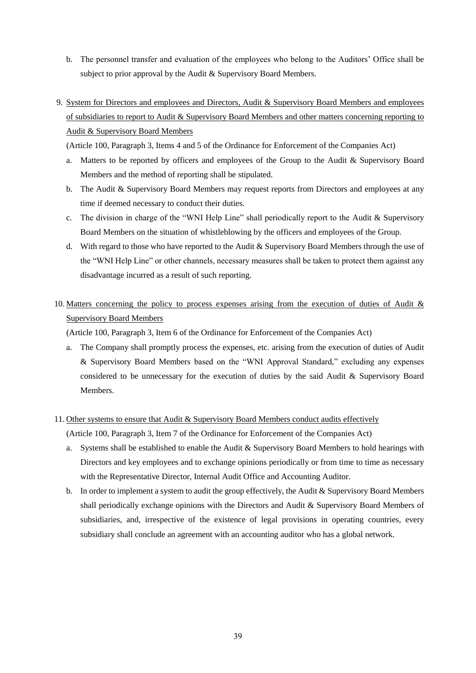- b. The personnel transfer and evaluation of the employees who belong to the Auditors' Office shall be subject to prior approval by the Audit & Supervisory Board Members.
- 9. System for Directors and employees and Directors, Audit & Supervisory Board Members and employees of subsidiaries to report to Audit & Supervisory Board Members and other matters concerning reporting to Audit & Supervisory Board Members

(Article 100, Paragraph 3, Items 4 and 5 of the Ordinance for Enforcement of the Companies Act)

- a. Matters to be reported by officers and employees of the Group to the Audit & Supervisory Board Members and the method of reporting shall be stipulated.
- b. The Audit & Supervisory Board Members may request reports from Directors and employees at any time if deemed necessary to conduct their duties.
- c. The division in charge of the "WNI Help Line" shall periodically report to the Audit & Supervisory Board Members on the situation of whistleblowing by the officers and employees of the Group.
- d. With regard to those who have reported to the Audit  $&$  Supervisory Board Members through the use of the "WNI Help Line" or other channels, necessary measures shall be taken to protect them against any disadvantage incurred as a result of such reporting.
- 10. Matters concerning the policy to process expenses arising from the execution of duties of Audit & Supervisory Board Members

(Article 100, Paragraph 3, Item 6 of the Ordinance for Enforcement of the Companies Act)

a. The Company shall promptly process the expenses, etc. arising from the execution of duties of Audit & Supervisory Board Members based on the "WNI Approval Standard," excluding any expenses considered to be unnecessary for the execution of duties by the said Audit & Supervisory Board Members.

## 11. Other systems to ensure that Audit & Supervisory Board Members conduct audits effectively

(Article 100, Paragraph 3, Item 7 of the Ordinance for Enforcement of the Companies Act)

- a. Systems shall be established to enable the Audit & Supervisory Board Members to hold hearings with Directors and key employees and to exchange opinions periodically or from time to time as necessary with the Representative Director, Internal Audit Office and Accounting Auditor.
- b. In order to implement a system to audit the group effectively, the Audit  $\&$  Supervisory Board Members shall periodically exchange opinions with the Directors and Audit & Supervisory Board Members of subsidiaries, and, irrespective of the existence of legal provisions in operating countries, every subsidiary shall conclude an agreement with an accounting auditor who has a global network.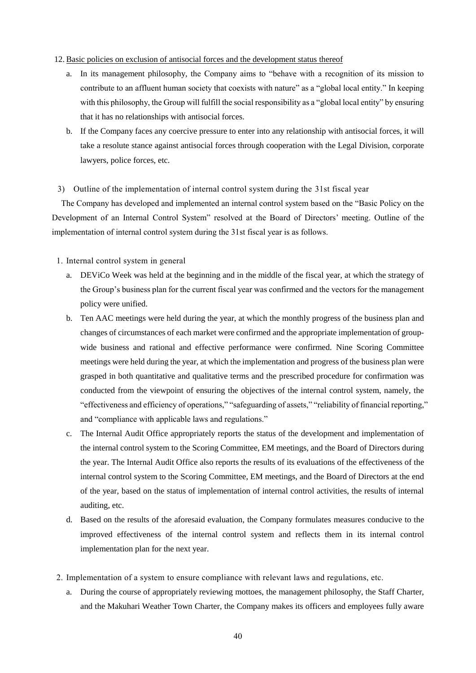## 12. Basic policies on exclusion of antisocial forces and the development status thereof

- a. In its management philosophy, the Company aims to "behave with a recognition of its mission to contribute to an affluent human society that coexists with nature" as a "global local entity." In keeping with this philosophy, the Group will fulfill the social responsibility as a "global local entity" by ensuring that it has no relationships with antisocial forces.
- b. If the Company faces any coercive pressure to enter into any relationship with antisocial forces, it will take a resolute stance against antisocial forces through cooperation with the Legal Division, corporate lawyers, police forces, etc.

## 3) Outline of the implementation of internal control system during the 31st fiscal year

The Company has developed and implemented an internal control system based on the "Basic Policy on the Development of an Internal Control System" resolved at the Board of Directors' meeting. Outline of the implementation of internal control system during the 31st fiscal year is as follows.

- 1. Internal control system in general
	- a. DEViCo Week was held at the beginning and in the middle of the fiscal year, at which the strategy of the Group's business plan for the current fiscal year was confirmed and the vectors for the management policy were unified.
	- b. Ten AAC meetings were held during the year, at which the monthly progress of the business plan and changes of circumstances of each market were confirmed and the appropriate implementation of groupwide business and rational and effective performance were confirmed. Nine Scoring Committee meetings were held during the year, at which the implementation and progress of the business plan were grasped in both quantitative and qualitative terms and the prescribed procedure for confirmation was conducted from the viewpoint of ensuring the objectives of the internal control system, namely, the "effectiveness and efficiency of operations," "safeguarding of assets," "reliability of financial reporting," and "compliance with applicable laws and regulations."
	- c. The Internal Audit Office appropriately reports the status of the development and implementation of the internal control system to the Scoring Committee, EM meetings, and the Board of Directors during the year. The Internal Audit Office also reports the results of its evaluations of the effectiveness of the internal control system to the Scoring Committee, EM meetings, and the Board of Directors at the end of the year, based on the status of implementation of internal control activities, the results of internal auditing, etc.
	- d. Based on the results of the aforesaid evaluation, the Company formulates measures conducive to the improved effectiveness of the internal control system and reflects them in its internal control implementation plan for the next year.
- 2. Implementation of a system to ensure compliance with relevant laws and regulations, etc.
	- a. During the course of appropriately reviewing mottoes, the management philosophy, the Staff Charter, and the Makuhari Weather Town Charter, the Company makes its officers and employees fully aware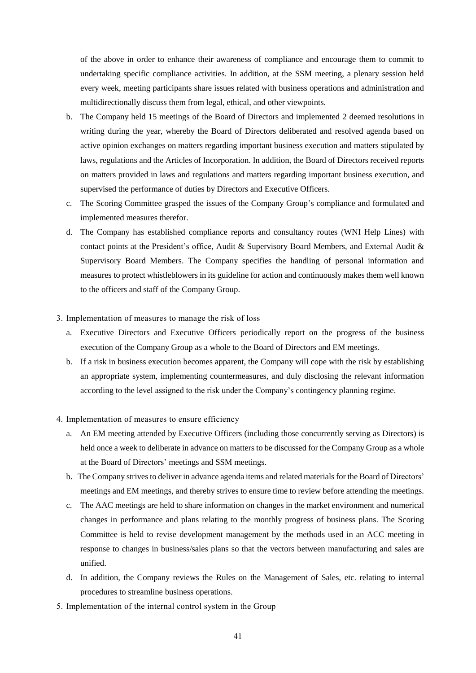of the above in order to enhance their awareness of compliance and encourage them to commit to undertaking specific compliance activities. In addition, at the SSM meeting, a plenary session held every week, meeting participants share issues related with business operations and administration and multidirectionally discuss them from legal, ethical, and other viewpoints.

- b. The Company held 15 meetings of the Board of Directors and implemented 2 deemed resolutions in writing during the year, whereby the Board of Directors deliberated and resolved agenda based on active opinion exchanges on matters regarding important business execution and matters stipulated by laws, regulations and the Articles of Incorporation. In addition, the Board of Directors received reports on matters provided in laws and regulations and matters regarding important business execution, and supervised the performance of duties by Directors and Executive Officers.
- c. The Scoring Committee grasped the issues of the Company Group's compliance and formulated and implemented measures therefor.
- d. The Company has established compliance reports and consultancy routes (WNI Help Lines) with contact points at the President's office, Audit & Supervisory Board Members, and External Audit & Supervisory Board Members. The Company specifies the handling of personal information and measures to protect whistleblowers in its guideline for action and continuously makes them well known to the officers and staff of the Company Group.
- 3. Implementation of measures to manage the risk of loss
	- a. Executive Directors and Executive Officers periodically report on the progress of the business execution of the Company Group as a whole to the Board of Directors and EM meetings.
	- b. If a risk in business execution becomes apparent, the Company will cope with the risk by establishing an appropriate system, implementing countermeasures, and duly disclosing the relevant information according to the level assigned to the risk under the Company's contingency planning regime.
- 4. Implementation of measures to ensure efficiency
	- a. An EM meeting attended by Executive Officers (including those concurrently serving as Directors) is held once a week to deliberate in advance on matters to be discussed for the Company Group as a whole at the Board of Directors' meetings and SSM meetings.
	- b. The Company strives to deliver in advance agenda items and related materials for the Board of Directors' meetings and EM meetings, and thereby strives to ensure time to review before attending the meetings.
	- c. The AAC meetings are held to share information on changes in the market environment and numerical changes in performance and plans relating to the monthly progress of business plans. The Scoring Committee is held to revise development management by the methods used in an ACC meeting in response to changes in business/sales plans so that the vectors between manufacturing and sales are unified.
	- d. In addition, the Company reviews the Rules on the Management of Sales, etc. relating to internal procedures to streamline business operations.
- 5. Implementation of the internal control system in the Group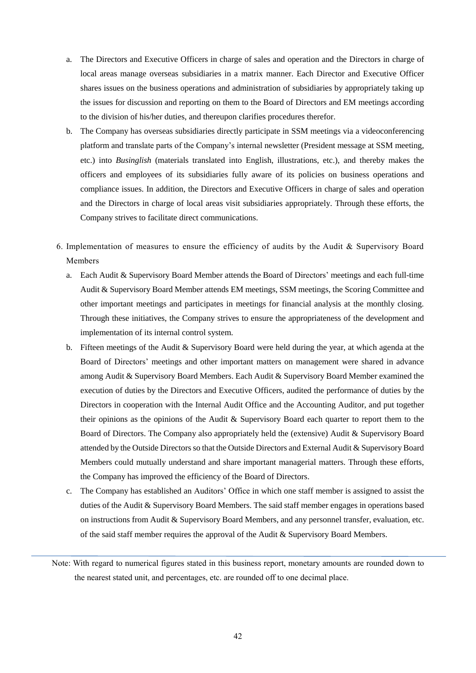- a. The Directors and Executive Officers in charge of sales and operation and the Directors in charge of local areas manage overseas subsidiaries in a matrix manner. Each Director and Executive Officer shares issues on the business operations and administration of subsidiaries by appropriately taking up the issues for discussion and reporting on them to the Board of Directors and EM meetings according to the division of his/her duties, and thereupon clarifies procedures therefor.
- b. The Company has overseas subsidiaries directly participate in SSM meetings via a videoconferencing platform and translate parts of the Company's internal newsletter (President message at SSM meeting, etc.) into *Businglish* (materials translated into English, illustrations, etc.), and thereby makes the officers and employees of its subsidiaries fully aware of its policies on business operations and compliance issues. In addition, the Directors and Executive Officers in charge of sales and operation and the Directors in charge of local areas visit subsidiaries appropriately. Through these efforts, the Company strives to facilitate direct communications.
- 6. Implementation of measures to ensure the efficiency of audits by the Audit & Supervisory Board Members
	- a. Each Audit & Supervisory Board Member attends the Board of Directors' meetings and each full-time Audit & Supervisory Board Member attends EM meetings, SSM meetings, the Scoring Committee and other important meetings and participates in meetings for financial analysis at the monthly closing. Through these initiatives, the Company strives to ensure the appropriateness of the development and implementation of its internal control system.
	- b. Fifteen meetings of the Audit & Supervisory Board were held during the year, at which agenda at the Board of Directors' meetings and other important matters on management were shared in advance among Audit & Supervisory Board Members. Each Audit & Supervisory Board Member examined the execution of duties by the Directors and Executive Officers, audited the performance of duties by the Directors in cooperation with the Internal Audit Office and the Accounting Auditor, and put together their opinions as the opinions of the Audit & Supervisory Board each quarter to report them to the Board of Directors. The Company also appropriately held the (extensive) Audit & Supervisory Board attended by the Outside Directors so that the Outside Directors and External Audit & Supervisory Board Members could mutually understand and share important managerial matters. Through these efforts, the Company has improved the efficiency of the Board of Directors.
	- c. The Company has established an Auditors' Office in which one staff member is assigned to assist the duties of the Audit & Supervisory Board Members. The said staff member engages in operations based on instructions from Audit & Supervisory Board Members, and any personnel transfer, evaluation, etc. of the said staff member requires the approval of the Audit & Supervisory Board Members.

Note: With regard to numerical figures stated in this business report, monetary amounts are rounded down to the nearest stated unit, and percentages, etc. are rounded off to one decimal place.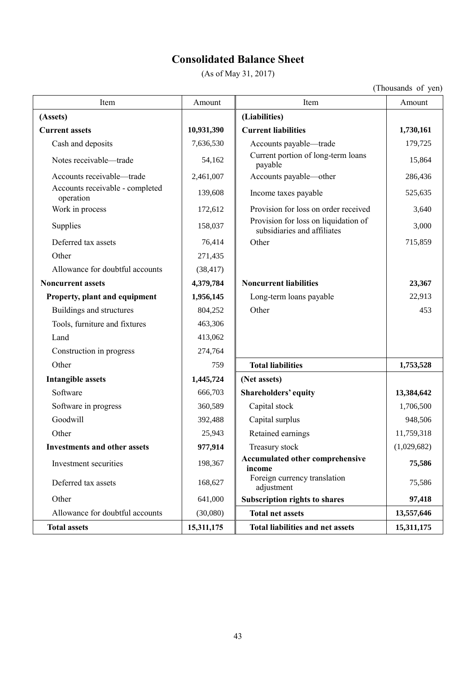# **Consolidated Balance Sheet**

(As of May 31, 2017)

| Item                                         | Amount     | Item                                                                | Amount      |
|----------------------------------------------|------------|---------------------------------------------------------------------|-------------|
| (Assets)                                     |            | (Liabilities)                                                       |             |
| <b>Current assets</b>                        | 10,931,390 | <b>Current liabilities</b>                                          | 1,730,161   |
| Cash and deposits                            | 7,636,530  | Accounts payable—trade                                              | 179,725     |
| Notes receivable-trade                       | 54,162     | Current portion of long-term loans<br>payable                       | 15,864      |
| Accounts receivable-trade                    | 2,461,007  | Accounts payable-other                                              | 286,436     |
| Accounts receivable - completed<br>operation | 139,608    | Income taxes payable                                                | 525,635     |
| Work in process                              | 172,612    | Provision for loss on order received                                | 3,640       |
| Supplies                                     | 158,037    | Provision for loss on liquidation of<br>subsidiaries and affiliates | 3,000       |
| Deferred tax assets                          | 76,414     | Other                                                               | 715,859     |
| Other                                        | 271,435    |                                                                     |             |
| Allowance for doubtful accounts              | (38, 417)  |                                                                     |             |
| <b>Noncurrent assets</b>                     | 4,379,784  | <b>Noncurrent liabilities</b>                                       | 23,367      |
| Property, plant and equipment                | 1,956,145  | Long-term loans payable                                             | 22,913      |
| Buildings and structures                     | 804,252    | Other                                                               | 453         |
| Tools, furniture and fixtures                | 463,306    |                                                                     |             |
| Land                                         | 413,062    |                                                                     |             |
| Construction in progress                     | 274,764    |                                                                     |             |
| Other                                        | 759        | <b>Total liabilities</b>                                            | 1,753,528   |
| <b>Intangible assets</b>                     | 1,445,724  | (Net assets)                                                        |             |
| Software                                     | 666,703    | Shareholders' equity                                                | 13,384,642  |
| Software in progress                         | 360,589    | Capital stock                                                       | 1,706,500   |
| Goodwill                                     | 392,488    | Capital surplus                                                     | 948,506     |
| Other                                        | 25,943     | Retained earnings                                                   | 11,759,318  |
| <b>Investments and other assets</b>          | 977,914    | Treasury stock                                                      | (1,029,682) |
| Investment securities                        | 198,367    | Accumulated other comprehensive<br>income                           | 75,586      |
| Deferred tax assets                          | 168,627    | Foreign currency translation<br>adjustment                          | 75,586      |
| Other                                        | 641,000    | <b>Subscription rights to shares</b>                                | 97,418      |
| Allowance for doubtful accounts              | (30,080)   | <b>Total net assets</b>                                             | 13,557,646  |
| <b>Total assets</b>                          | 15,311,175 | <b>Total liabilities and net assets</b>                             | 15,311,175  |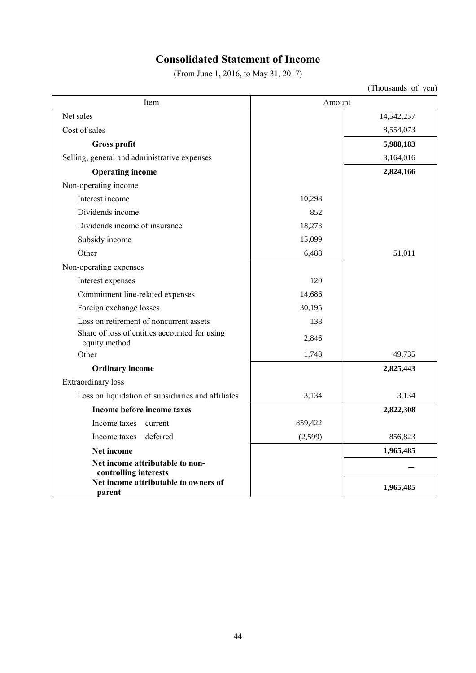# **Consolidated Statement of Income**

(From June 1, 2016, to May 31, 2017)

| Item                                                           | Amount   |            |
|----------------------------------------------------------------|----------|------------|
| Net sales                                                      |          | 14,542,257 |
| Cost of sales                                                  |          | 8,554,073  |
| <b>Gross profit</b>                                            |          | 5,988,183  |
| Selling, general and administrative expenses                   |          | 3,164,016  |
| <b>Operating income</b>                                        |          | 2,824,166  |
| Non-operating income                                           |          |            |
| Interest income                                                | 10,298   |            |
| Dividends income                                               | 852      |            |
| Dividends income of insurance                                  | 18,273   |            |
| Subsidy income                                                 | 15,099   |            |
| Other                                                          | 6,488    | 51,011     |
| Non-operating expenses                                         |          |            |
| Interest expenses                                              | 120      |            |
| Commitment line-related expenses                               | 14,686   |            |
| Foreign exchange losses                                        | 30,195   |            |
| Loss on retirement of noncurrent assets                        | 138      |            |
| Share of loss of entities accounted for using<br>equity method | 2,846    |            |
| Other                                                          | 1,748    | 49,735     |
| <b>Ordinary income</b>                                         |          | 2,825,443  |
| <b>Extraordinary</b> loss                                      |          |            |
| Loss on liquidation of subsidiaries and affiliates             | 3,134    | 3,134      |
| Income before income taxes                                     |          | 2,822,308  |
| Income taxes—current                                           | 859,422  |            |
| Income taxes-deferred                                          | (2, 599) | 856,823    |
| Net income                                                     |          | 1,965,485  |
| Net income attributable to non-<br>controlling interests       |          |            |
| Net income attributable to owners of<br>parent                 |          | 1,965,485  |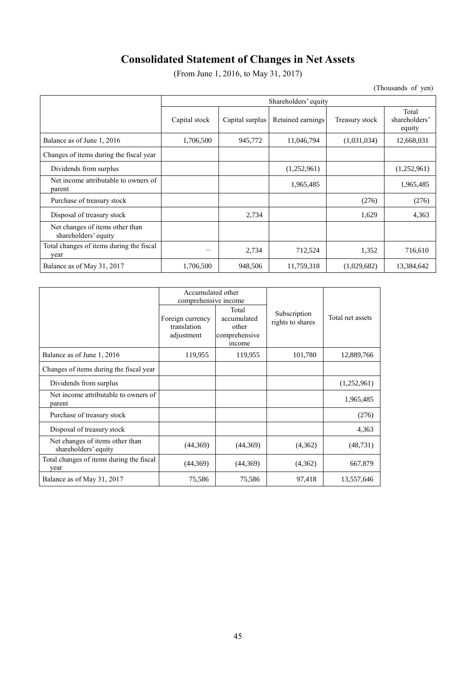# **Consolidated Statement of Changes in Net Assets**

(From June 1, 2016, to May 31, 2017)

|                                                         | Shareholders' equity |                 |                   |                |                                  |
|---------------------------------------------------------|----------------------|-----------------|-------------------|----------------|----------------------------------|
|                                                         | Capital stock        | Capital surplus | Retained earnings | Treasury stock | Total<br>shareholders'<br>equity |
| Balance as of June 1, 2016                              | 1,706,500            | 945,772         | 11,046,794        | (1,031,034)    | 12,668,031                       |
| Changes of items during the fiscal year                 |                      |                 |                   |                |                                  |
| Dividends from surplus                                  |                      |                 | (1,252,961)       |                | (1,252,961)                      |
| Net income attributable to owners of<br>parent          |                      |                 | 1,965,485         |                | 1,965,485                        |
| Purchase of treasury stock                              |                      |                 |                   | (276)          | (276)                            |
| Disposal of treasury stock                              |                      | 2,734           |                   | 1,629          | 4,363                            |
| Net changes of items other than<br>shareholders' equity |                      |                 |                   |                |                                  |
| Total changes of items during the fiscal<br>year        |                      | 2,734           | 712,524           | 1,352          | 716,610                          |
| Balance as of May 31, 2017                              | 1,706,500            | 948,506         | 11,759,318        | (1,029,682)    | 13,384,642                       |

|                                                         | Accumulated other<br>comprehensive income     |                                                          |                                  |                  |
|---------------------------------------------------------|-----------------------------------------------|----------------------------------------------------------|----------------------------------|------------------|
|                                                         | Foreign currency<br>translation<br>adjustment | Total<br>accumulated<br>other<br>comprehensive<br>income | Subscription<br>rights to shares | Total net assets |
| Balance as of June 1, 2016                              | 119,955                                       | 119,955                                                  | 101,780                          | 12,889,766       |
| Changes of items during the fiscal year                 |                                               |                                                          |                                  |                  |
| Dividends from surplus                                  |                                               |                                                          |                                  | (1,252,961)      |
| Net income attributable to owners of<br>parent          |                                               |                                                          |                                  | 1,965,485        |
| Purchase of treasury stock                              |                                               |                                                          |                                  | (276)            |
| Disposal of treasury stock                              |                                               |                                                          |                                  | 4,363            |
| Net changes of items other than<br>shareholders' equity | (44,369)                                      | (44,369)                                                 | (4,362)                          | (48, 731)        |
| Total changes of items during the fiscal<br>year        | (44,369)                                      | (44,369)                                                 | (4,362)                          | 667,879          |
| Balance as of May 31, 2017                              | 75,586                                        | 75,586                                                   | 97,418                           | 13,557,646       |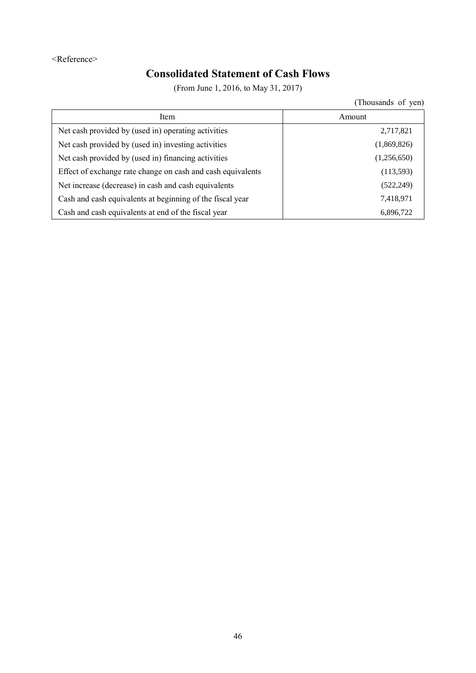# <Reference>

# **Consolidated Statement of Cash Flows**

(From June 1, 2016, to May 31, 2017)

| Item                                                        | Amount      |
|-------------------------------------------------------------|-------------|
| Net cash provided by (used in) operating activities         | 2,717,821   |
| Net cash provided by (used in) investing activities         | (1,869,826) |
| Net cash provided by (used in) financing activities         | (1,256,650) |
| Effect of exchange rate change on cash and cash equivalents | (113, 593)  |
| Net increase (decrease) in cash and cash equivalents        | (522, 249)  |
| Cash and cash equivalents at beginning of the fiscal year   | 7,418,971   |
| Cash and cash equivalents at end of the fiscal year         | 6,896,722   |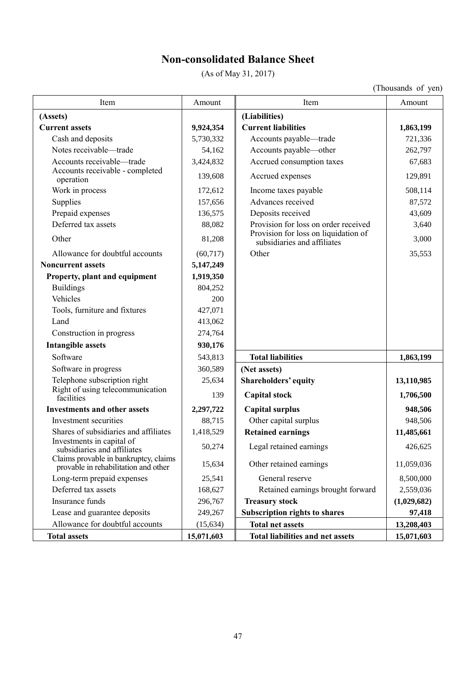# **Non-consolidated Balance Sheet**

(As of May 31, 2017)

| Item                                                                          | Amount     | Item                                                                | Amount      |
|-------------------------------------------------------------------------------|------------|---------------------------------------------------------------------|-------------|
| (Assets)                                                                      |            | (Liabilities)                                                       |             |
| <b>Current assets</b>                                                         | 9,924,354  | <b>Current liabilities</b>                                          | 1,863,199   |
| Cash and deposits                                                             | 5,730,332  | Accounts payable-trade                                              | 721,336     |
| Notes receivable-trade                                                        | 54,162     | Accounts payable-other                                              | 262,797     |
| Accounts receivable-trade                                                     | 3,424,832  | Accrued consumption taxes                                           | 67,683      |
| Accounts receivable - completed<br>operation                                  | 139,608    | Accrued expenses                                                    | 129,891     |
| Work in process                                                               | 172,612    | Income taxes payable                                                | 508,114     |
| Supplies                                                                      | 157,656    | Advances received                                                   | 87,572      |
| Prepaid expenses                                                              | 136,575    | Deposits received                                                   | 43,609      |
| Deferred tax assets                                                           | 88,082     | Provision for loss on order received                                | 3,640       |
| Other                                                                         | 81,208     | Provision for loss on liquidation of<br>subsidiaries and affiliates | 3,000       |
| Allowance for doubtful accounts                                               | (60, 717)  | Other                                                               | 35,553      |
| <b>Noncurrent assets</b>                                                      | 5,147,249  |                                                                     |             |
| Property, plant and equipment                                                 | 1,919,350  |                                                                     |             |
| <b>Buildings</b>                                                              | 804,252    |                                                                     |             |
| Vehicles                                                                      | 200        |                                                                     |             |
| Tools, furniture and fixtures                                                 | 427,071    |                                                                     |             |
| Land                                                                          | 413,062    |                                                                     |             |
| Construction in progress                                                      | 274,764    |                                                                     |             |
| <b>Intangible assets</b>                                                      | 930,176    |                                                                     |             |
| Software                                                                      | 543,813    | <b>Total liabilities</b>                                            | 1,863,199   |
| Software in progress                                                          | 360,589    | (Net assets)                                                        |             |
| Telephone subscription right                                                  | 25,634     | <b>Shareholders' equity</b>                                         | 13,110,985  |
| Right of using telecommunication<br>facilities                                | 139        | <b>Capital stock</b>                                                | 1,706,500   |
| <b>Investments and other assets</b>                                           | 2,297,722  | <b>Capital surplus</b>                                              | 948,506     |
| Investment securities                                                         | 88,715     | Other capital surplus                                               | 948,506     |
| Shares of subsidiaries and affiliates                                         | 1,418,529  | <b>Retained earnings</b>                                            | 11,485,661  |
| Investments in capital of<br>subsidiaries and affiliates                      | 50,274     | Legal retained earnings                                             | 426,625     |
| Claims provable in bankruptcy, claims<br>provable in rehabilitation and other | 15,634     | Other retained earnings                                             | 11,059,036  |
| Long-term prepaid expenses                                                    | 25,541     | General reserve                                                     | 8,500,000   |
| Deferred tax assets                                                           | 168,627    | Retained earnings brought forward                                   | 2,559,036   |
| Insurance funds                                                               | 296,767    | <b>Treasury stock</b>                                               | (1,029,682) |
| Lease and guarantee deposits                                                  | 249,267    | <b>Subscription rights to shares</b>                                | 97,418      |
| Allowance for doubtful accounts                                               | (15, 634)  | <b>Total net assets</b>                                             | 13,208,403  |
| <b>Total assets</b>                                                           | 15,071,603 | <b>Total liabilities and net assets</b>                             | 15,071,603  |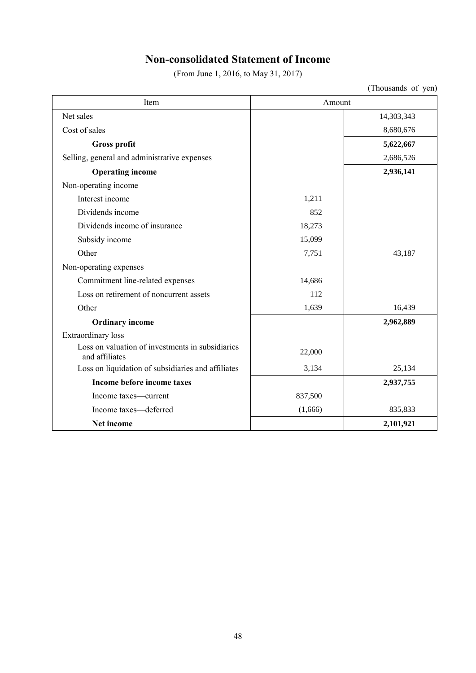# **Non-consolidated Statement of Income**

(From June 1, 2016, to May 31, 2017)

| Item                                                               | Amount  |            |
|--------------------------------------------------------------------|---------|------------|
| Net sales                                                          |         | 14,303,343 |
| Cost of sales                                                      |         | 8,680,676  |
| <b>Gross profit</b>                                                |         | 5,622,667  |
| Selling, general and administrative expenses                       |         | 2,686,526  |
| <b>Operating income</b>                                            |         | 2,936,141  |
| Non-operating income                                               |         |            |
| Interest income                                                    | 1,211   |            |
| Dividends income                                                   | 852     |            |
| Dividends income of insurance                                      | 18,273  |            |
| Subsidy income                                                     | 15,099  |            |
| Other                                                              | 7,751   | 43,187     |
| Non-operating expenses                                             |         |            |
| Commitment line-related expenses                                   | 14,686  |            |
| Loss on retirement of noncurrent assets                            | 112     |            |
| Other                                                              | 1,639   | 16,439     |
| <b>Ordinary income</b>                                             |         | 2,962,889  |
| Extraordinary loss                                                 |         |            |
| Loss on valuation of investments in subsidiaries<br>and affiliates | 22,000  |            |
| Loss on liquidation of subsidiaries and affiliates                 | 3,134   | 25,134     |
| Income before income taxes                                         |         | 2,937,755  |
| Income taxes—current                                               | 837,500 |            |
| Income taxes-deferred                                              | (1,666) | 835,833    |
| Net income                                                         |         | 2,101,921  |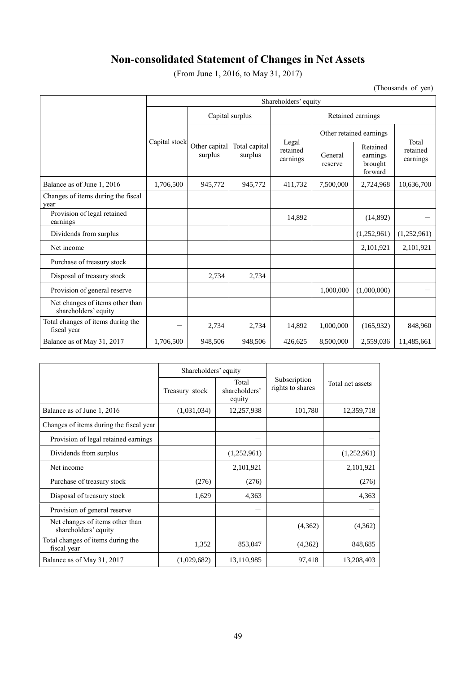# **Non-consolidated Statement of Changes in Net Assets**

(From June 1, 2016, to May 31, 2017)

|                                                         | Shareholders' equity |                          |                          |                               |                         |                                            |                               |  |
|---------------------------------------------------------|----------------------|--------------------------|--------------------------|-------------------------------|-------------------------|--------------------------------------------|-------------------------------|--|
|                                                         |                      | Capital surplus          |                          | Retained earnings             |                         |                                            |                               |  |
|                                                         | Capital stock        | Other capital<br>surplus | Total capital<br>surplus | Legal<br>retained<br>earnings | Other retained earnings |                                            |                               |  |
|                                                         |                      |                          |                          |                               | General<br>reserve      | Retained<br>earnings<br>brought<br>forward | Total<br>retained<br>earnings |  |
| Balance as of June 1, 2016                              | 1,706,500            | 945,772                  | 945,772                  | 411,732                       | 7,500,000               | 2,724,968                                  | 10,636,700                    |  |
| Changes of items during the fiscal<br>year              |                      |                          |                          |                               |                         |                                            |                               |  |
| Provision of legal retained<br>earnings                 |                      |                          |                          | 14,892                        |                         | (14,892)                                   |                               |  |
| Dividends from surplus                                  |                      |                          |                          |                               |                         | (1,252,961)                                | (1,252,961)                   |  |
| Net income                                              |                      |                          |                          |                               |                         | 2,101,921                                  | 2,101,921                     |  |
| Purchase of treasury stock                              |                      |                          |                          |                               |                         |                                            |                               |  |
| Disposal of treasury stock                              |                      | 2,734                    | 2,734                    |                               |                         |                                            |                               |  |
| Provision of general reserve                            |                      |                          |                          |                               | 1,000,000               | (1,000,000)                                |                               |  |
| Net changes of items other than<br>shareholders' equity |                      |                          |                          |                               |                         |                                            |                               |  |
| Total changes of items during the<br>fiscal year        |                      | 2,734                    | 2,734                    | 14,892                        | 1,000,000               | (165, 932)                                 | 848,960                       |  |
| Balance as of May 31, 2017                              | 1,706,500            | 948,506                  | 948,506                  | 426,625                       | 8,500,000               | 2,559,036                                  | 11,485,661                    |  |

|                                                         | Shareholders' equity |                                  |                                  | Total net assets |  |
|---------------------------------------------------------|----------------------|----------------------------------|----------------------------------|------------------|--|
|                                                         | Treasury stock       | Total<br>shareholders'<br>equity | Subscription<br>rights to shares |                  |  |
| Balance as of June 1, 2016                              | (1,031,034)          | 12,257,938                       | 101,780                          | 12,359,718       |  |
| Changes of items during the fiscal year                 |                      |                                  |                                  |                  |  |
| Provision of legal retained earnings                    |                      |                                  |                                  |                  |  |
| Dividends from surplus                                  |                      | (1,252,961)                      |                                  | (1,252,961)      |  |
| Net income                                              |                      | 2,101,921                        |                                  | 2,101,921        |  |
| Purchase of treasury stock                              | (276)                | (276)                            |                                  | (276)            |  |
| Disposal of treasury stock                              | 1,629                | 4,363                            |                                  | 4,363            |  |
| Provision of general reserve                            |                      |                                  |                                  |                  |  |
| Net changes of items other than<br>shareholders' equity |                      |                                  | (4,362)                          | (4,362)          |  |
| Total changes of items during the<br>fiscal year        | 1,352                | 853,047                          | (4,362)                          | 848,685          |  |
| Balance as of May 31, 2017                              | (1,029,682)          | 13,110,985                       | 97,418                           | 13,208,403       |  |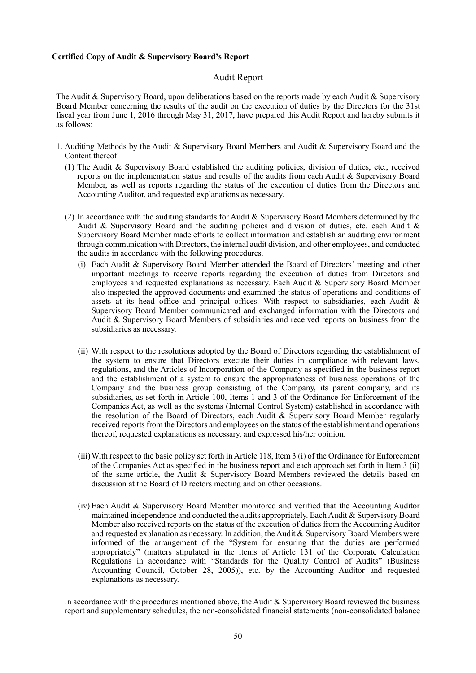## **Certified Copy of Audit & Supervisory Board's Report**

# Audit Report

The Audit & Supervisory Board, upon deliberations based on the reports made by each Audit & Supervisory Board Member concerning the results of the audit on the execution of duties by the Directors for the 31st fiscal year from June 1, 2016 through May 31, 2017, have prepared this Audit Report and hereby submits it as follows:

- 1. Auditing Methods by the Audit & Supervisory Board Members and Audit & Supervisory Board and the Content thereof
	- (1) The Audit & Supervisory Board established the auditing policies, division of duties, etc., received reports on the implementation status and results of the audits from each Audit & Supervisory Board Member, as well as reports regarding the status of the execution of duties from the Directors and Accounting Auditor, and requested explanations as necessary.
	- (2) In accordance with the auditing standards for Audit & Supervisory Board Members determined by the Audit & Supervisory Board and the auditing policies and division of duties, etc. each Audit & Supervisory Board Member made efforts to collect information and establish an auditing environment through communication with Directors, the internal audit division, and other employees, and conducted the audits in accordance with the following procedures.
		- (i) Each Audit & Supervisory Board Member attended the Board of Directors' meeting and other important meetings to receive reports regarding the execution of duties from Directors and employees and requested explanations as necessary. Each Audit & Supervisory Board Member also inspected the approved documents and examined the status of operations and conditions of assets at its head office and principal offices. With respect to subsidiaries, each Audit & Supervisory Board Member communicated and exchanged information with the Directors and Audit & Supervisory Board Members of subsidiaries and received reports on business from the subsidiaries as necessary.
		- (ii) With respect to the resolutions adopted by the Board of Directors regarding the establishment of the system to ensure that Directors execute their duties in compliance with relevant laws, regulations, and the Articles of Incorporation of the Company as specified in the business report and the establishment of a system to ensure the appropriateness of business operations of the Company and the business group consisting of the Company, its parent company, and its subsidiaries, as set forth in Article 100, Items 1 and 3 of the Ordinance for Enforcement of the Companies Act, as well as the systems (Internal Control System) established in accordance with the resolution of the Board of Directors, each Audit & Supervisory Board Member regularly received reports from the Directors and employees on the status of the establishment and operations thereof, requested explanations as necessary, and expressed his/her opinion.
		- (iii)With respect to the basic policy set forth in Article 118, Item 3 (i) of the Ordinance for Enforcement of the Companies Act as specified in the business report and each approach set forth in Item 3 (ii) of the same article, the Audit & Supervisory Board Members reviewed the details based on discussion at the Board of Directors meeting and on other occasions.
		- (iv) Each Audit & Supervisory Board Member monitored and verified that the Accounting Auditor maintained independence and conducted the audits appropriately. Each Audit & Supervisory Board Member also received reports on the status of the execution of duties from the Accounting Auditor and requested explanation as necessary. In addition, the Audit & Supervisory Board Members were informed of the arrangement of the "System for ensuring that the duties are performed appropriately" (matters stipulated in the items of Article 131 of the Corporate Calculation Regulations in accordance with "Standards for the Quality Control of Audits" (Business Accounting Council, October 28, 2005)), etc. by the Accounting Auditor and requested explanations as necessary.

In accordance with the procedures mentioned above, the Audit  $\&$  Supervisory Board reviewed the business report and supplementary schedules, the non-consolidated financial statements (non-consolidated balance